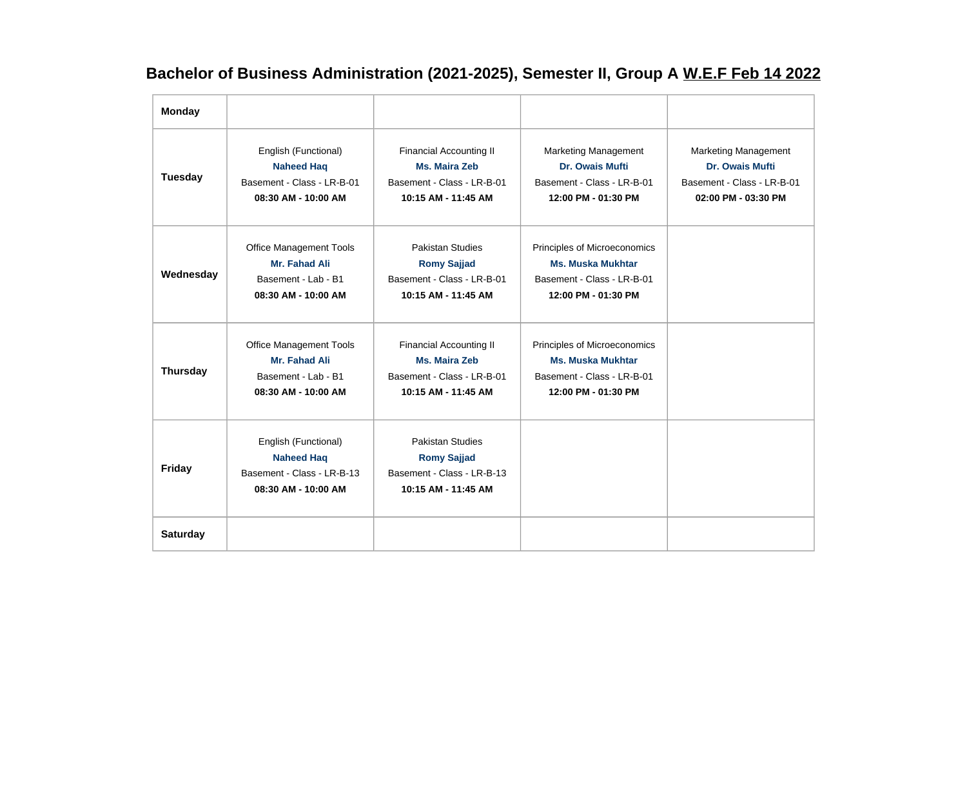## **Bachelor of Business Administration (2021-2025), Semester II, Group A W.E.F Feb 14 2022**

| <b>Monday</b>   |                                                                                                |                                                                                                             |                                                                                                               |                                                                                                            |
|-----------------|------------------------------------------------------------------------------------------------|-------------------------------------------------------------------------------------------------------------|---------------------------------------------------------------------------------------------------------------|------------------------------------------------------------------------------------------------------------|
| <b>Tuesday</b>  | English (Functional)<br><b>Naheed Haq</b><br>Basement - Class - LR-B-01<br>08:30 AM - 10:00 AM | <b>Financial Accounting II</b><br><b>Ms. Maira Zeb</b><br>Basement - Class - LR-B-01<br>10:15 AM - 11:45 AM | Marketing Management<br><b>Dr. Owais Mufti</b><br>Basement - Class - LR-B-01<br>12:00 PM - 01:30 PM           | <b>Marketing Management</b><br><b>Dr. Owais Mufti</b><br>Basement - Class - LR-B-01<br>02:00 PM - 03:30 PM |
| Wednesday       | <b>Office Management Tools</b><br>Mr. Fahad Ali<br>Basement - Lab - B1<br>08:30 AM - 10:00 AM  | <b>Pakistan Studies</b><br><b>Romy Sajjad</b><br>Basement - Class - LR-B-01<br>10:15 AM - 11:45 AM          | Principles of Microeconomics<br><b>Ms. Muska Mukhtar</b><br>Basement - Class - LR-B-01<br>12:00 PM - 01:30 PM |                                                                                                            |
| <b>Thursday</b> | <b>Office Management Tools</b><br>Mr. Fahad Ali<br>Basement - Lab - B1<br>08:30 AM - 10:00 AM  | <b>Financial Accounting II</b><br><b>Ms. Maira Zeb</b><br>Basement - Class - LR-B-01<br>10:15 AM - 11:45 AM | Principles of Microeconomics<br><b>Ms. Muska Mukhtar</b><br>Basement - Class - LR-B-01<br>12:00 PM - 01:30 PM |                                                                                                            |
| <b>Friday</b>   | English (Functional)<br><b>Naheed Haq</b><br>Basement - Class - LR-B-13<br>08:30 AM - 10:00 AM | <b>Pakistan Studies</b><br><b>Romy Sajjad</b><br>Basement - Class - LR-B-13<br>10:15 AM - 11:45 AM          |                                                                                                               |                                                                                                            |
| <b>Saturday</b> |                                                                                                |                                                                                                             |                                                                                                               |                                                                                                            |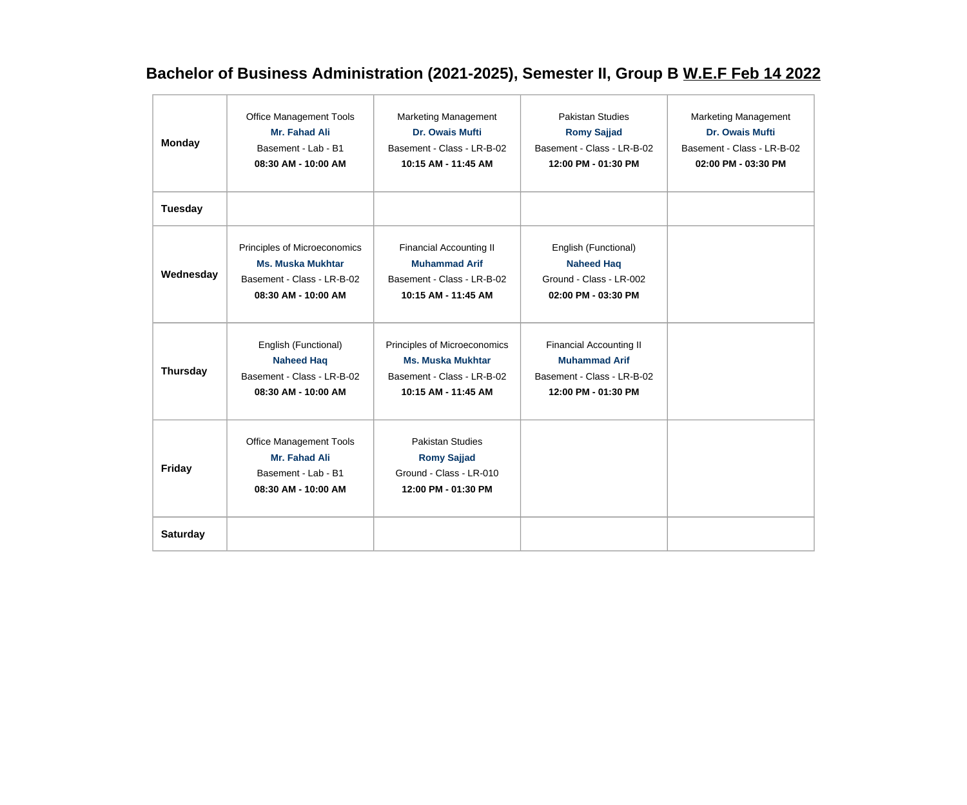## **Bachelor of Business Administration (2021-2025), Semester II, Group B W.E.F Feb 14 2022**

| <b>Monday</b>   | <b>Office Management Tools</b><br>Mr. Fahad Ali<br>Basement - Lab - B1<br>08:30 AM - 10:00 AM                 | <b>Marketing Management</b><br>Dr. Owais Mufti<br>Basement - Class - LR-B-02<br>10:15 AM - 11:45 AM           | Pakistan Studies<br><b>Romy Sajjad</b><br>Basement - Class - LR-B-02<br>12:00 PM - 01:30 PM                 | <b>Marketing Management</b><br>Dr. Owais Mufti<br>Basement - Class - LR-B-02<br>02:00 PM - 03:30 PM |
|-----------------|---------------------------------------------------------------------------------------------------------------|---------------------------------------------------------------------------------------------------------------|-------------------------------------------------------------------------------------------------------------|-----------------------------------------------------------------------------------------------------|
| <b>Tuesday</b>  |                                                                                                               |                                                                                                               |                                                                                                             |                                                                                                     |
| Wednesday       | Principles of Microeconomics<br><b>Ms. Muska Mukhtar</b><br>Basement - Class - LR-B-02<br>08:30 AM - 10:00 AM | <b>Financial Accounting II</b><br><b>Muhammad Arif</b><br>Basement - Class - LR-B-02<br>10:15 AM - 11:45 AM   | English (Functional)<br><b>Naheed Haq</b><br>Ground - Class - LR-002<br>02:00 PM - 03:30 PM                 |                                                                                                     |
| <b>Thursday</b> | English (Functional)<br><b>Naheed Haq</b><br>Basement - Class - LR-B-02<br>08:30 AM - 10:00 AM                | Principles of Microeconomics<br><b>Ms. Muska Mukhtar</b><br>Basement - Class - LR-B-02<br>10:15 AM - 11:45 AM | <b>Financial Accounting II</b><br><b>Muhammad Arif</b><br>Basement - Class - LR-B-02<br>12:00 PM - 01:30 PM |                                                                                                     |
| <b>Friday</b>   | <b>Office Management Tools</b><br>Mr. Fahad Ali<br>Basement - Lab - B1<br>08:30 AM - 10:00 AM                 | <b>Pakistan Studies</b><br><b>Romy Sajjad</b><br>Ground - Class - LR-010<br>12:00 PM - 01:30 PM               |                                                                                                             |                                                                                                     |
| <b>Saturday</b> |                                                                                                               |                                                                                                               |                                                                                                             |                                                                                                     |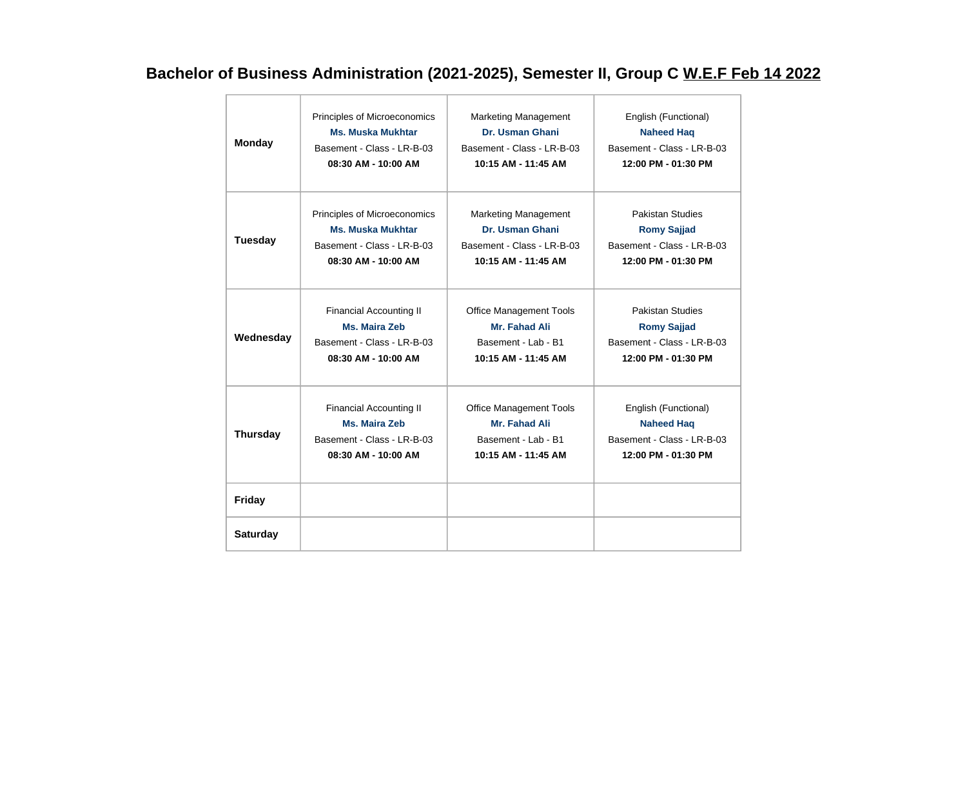## **Bachelor of Business Administration (2021-2025), Semester II, Group C W.E.F Feb 14 2022**

| <b>Monday</b>   | Principles of Microeconomics   | <b>Marketing Management</b>    | English (Functional)       |
|-----------------|--------------------------------|--------------------------------|----------------------------|
|                 | <b>Ms. Muska Mukhtar</b>       | Dr. Usman Ghani                | <b>Naheed Haq</b>          |
|                 | Basement - Class - LR-B-03     | Basement - Class - LR-B-03     | Basement - Class - LR-B-03 |
|                 | 08:30 AM - 10:00 AM            | 10:15 AM - 11:45 AM            | 12:00 PM - 01:30 PM        |
| <b>Tuesday</b>  | Principles of Microeconomics   | <b>Marketing Management</b>    | <b>Pakistan Studies</b>    |
|                 | <b>Ms. Muska Mukhtar</b>       | Dr. Usman Ghani                | <b>Romy Sajjad</b>         |
|                 | Basement - Class - LR-B-03     | Basement - Class - LR-B-03     | Basement - Class - LR-B-03 |
|                 | 08:30 AM - 10:00 AM            | 10:15 AM - 11:45 AM            | 12:00 PM - 01:30 PM        |
| Wednesday       | <b>Financial Accounting II</b> | <b>Office Management Tools</b> | <b>Pakistan Studies</b>    |
|                 | Ms. Maira Zeb                  | Mr. Fahad Ali                  | <b>Romy Sajjad</b>         |
|                 | Basement - Class - LR-B-03     | Basement - Lab - B1            | Basement - Class - LR-B-03 |
|                 | 08:30 AM - 10:00 AM            | 10:15 AM - 11:45 AM            | 12:00 PM - 01:30 PM        |
| <b>Thursday</b> | <b>Financial Accounting II</b> | <b>Office Management Tools</b> | English (Functional)       |
|                 | Ms. Maira Zeb                  | Mr. Fahad Ali                  | <b>Naheed Haq</b>          |
|                 | Basement - Class - LR-B-03     | Basement - Lab - B1            | Basement - Class - LR-B-03 |
|                 | 08:30 AM - 10:00 AM            | 10:15 AM - 11:45 AM            | 12:00 PM - 01:30 PM        |
| <b>Friday</b>   |                                |                                |                            |
| <b>Saturday</b> |                                |                                |                            |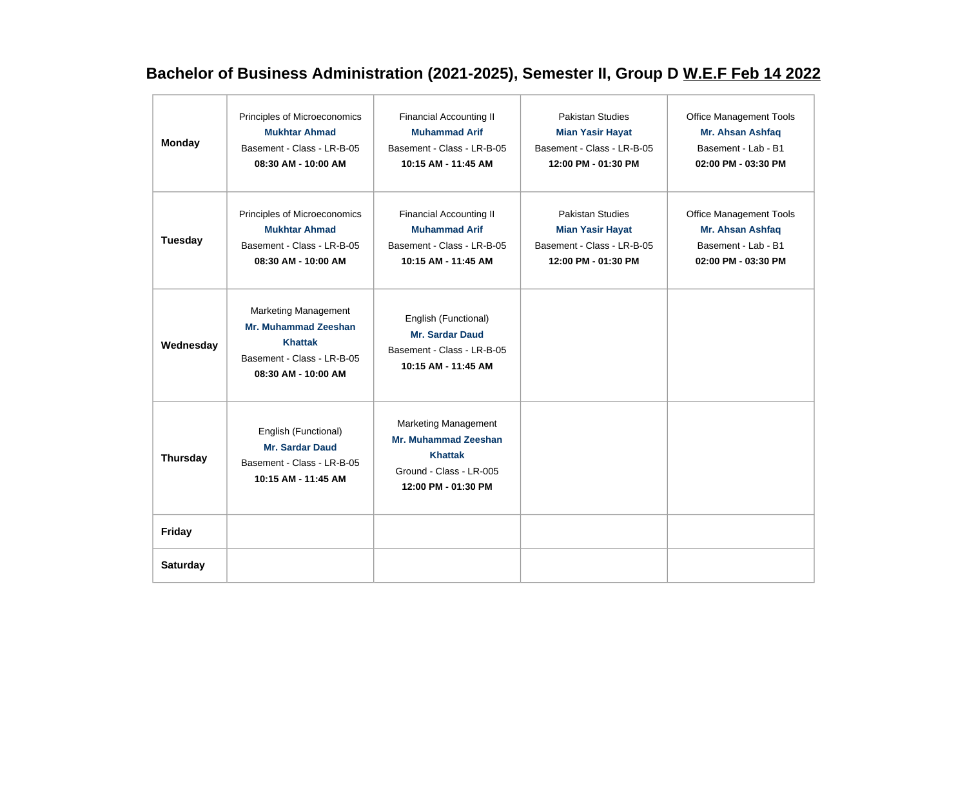## **Bachelor of Business Administration (2021-2025), Semester II, Group D W.E.F Feb 14 2022**

| <b>Monday</b>   | Principles of Microeconomics<br><b>Mukhtar Ahmad</b><br>Basement - Class - LR-B-05<br>08:30 AM - 10:00 AM                  | <b>Financial Accounting II</b><br><b>Muhammad Arif</b><br>Basement - Class - LR-B-05<br>10:15 AM - 11:45 AM                    | <b>Pakistan Studies</b><br><b>Mian Yasir Hayat</b><br>Basement - Class - LR-B-05<br>12:00 PM - 01:30 PM | <b>Office Management Tools</b><br>Mr. Ahsan Ashfaq<br>Basement - Lab - B1<br>02:00 PM - 03:30 PM |
|-----------------|----------------------------------------------------------------------------------------------------------------------------|--------------------------------------------------------------------------------------------------------------------------------|---------------------------------------------------------------------------------------------------------|--------------------------------------------------------------------------------------------------|
| Tuesday         | Principles of Microeconomics<br><b>Mukhtar Ahmad</b><br>Basement - Class - LR-B-05<br>08:30 AM - 10:00 AM                  | <b>Financial Accounting II</b><br><b>Muhammad Arif</b><br>Basement - Class - LR-B-05<br>10:15 AM - 11:45 AM                    | Pakistan Studies<br><b>Mian Yasir Hayat</b><br>Basement - Class - LR-B-05<br>12:00 PM - 01:30 PM        | <b>Office Management Tools</b><br>Mr. Ahsan Ashfaq<br>Basement - Lab - B1<br>02:00 PM - 03:30 PM |
| Wednesday       | <b>Marketing Management</b><br>Mr. Muhammad Zeeshan<br><b>Khattak</b><br>Basement - Class - LR-B-05<br>08:30 AM - 10:00 AM | English (Functional)<br><b>Mr. Sardar Daud</b><br>Basement - Class - LR-B-05<br>10:15 AM - 11:45 AM                            |                                                                                                         |                                                                                                  |
| <b>Thursday</b> | English (Functional)<br><b>Mr. Sardar Daud</b><br>Basement - Class - LR-B-05<br>10:15 AM - 11:45 AM                        | <b>Marketing Management</b><br><b>Mr. Muhammad Zeeshan</b><br><b>Khattak</b><br>Ground - Class - LR-005<br>12:00 PM - 01:30 PM |                                                                                                         |                                                                                                  |
| Friday          |                                                                                                                            |                                                                                                                                |                                                                                                         |                                                                                                  |
| <b>Saturday</b> |                                                                                                                            |                                                                                                                                |                                                                                                         |                                                                                                  |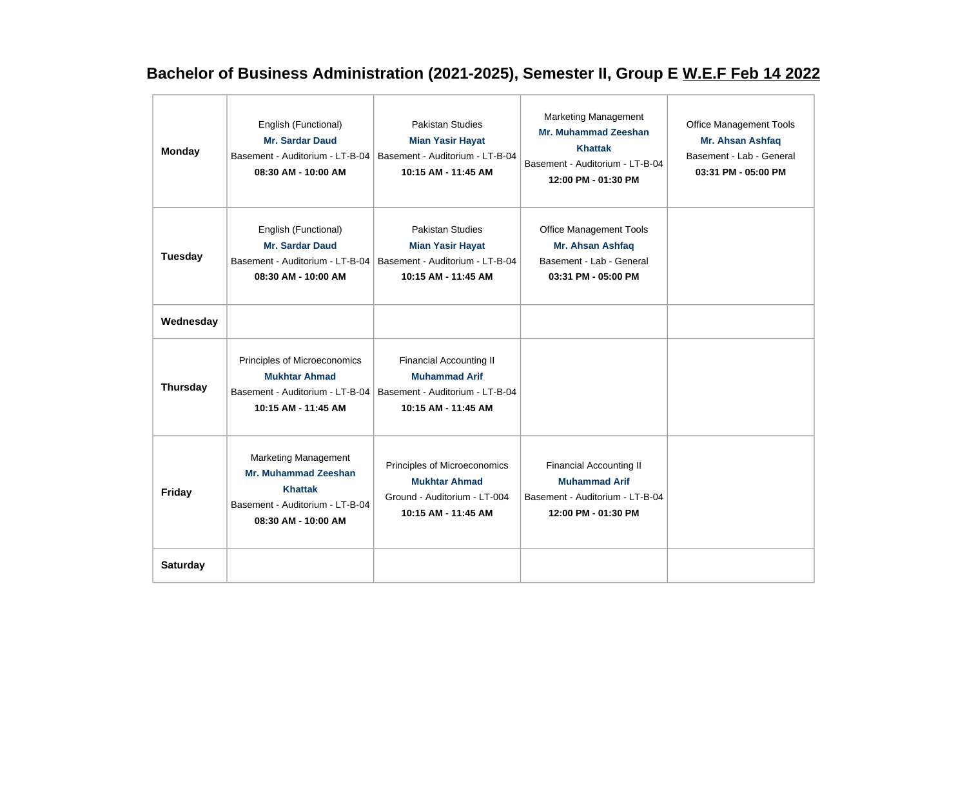## **Bachelor of Business Administration (2021-2025), Semester II, Group E W.E.F Feb 14 2022**

| <b>Monday</b>   | English (Functional)<br><b>Mr. Sardar Daud</b><br>Basement - Auditorium - LT-B-04<br>08:30 AM - 10:00 AM                               | <b>Pakistan Studies</b><br><b>Mian Yasir Hayat</b><br>Basement - Auditorium - LT-B-04<br>10:15 AM - 11:45 AM     | <b>Marketing Management</b><br><b>Mr. Muhammad Zeeshan</b><br><b>Khattak</b><br>Basement - Auditorium - LT-B-04<br>12:00 PM - 01:30 PM | <b>Office Management Tools</b><br>Mr. Ahsan Ashfaq<br>Basement - Lab - General<br>03:31 PM - 05:00 PM |
|-----------------|----------------------------------------------------------------------------------------------------------------------------------------|------------------------------------------------------------------------------------------------------------------|----------------------------------------------------------------------------------------------------------------------------------------|-------------------------------------------------------------------------------------------------------|
| <b>Tuesday</b>  | English (Functional)<br>Mr. Sardar Daud<br>Basement - Auditorium - LT-B-04<br>08:30 AM - 10:00 AM                                      | <b>Pakistan Studies</b><br><b>Mian Yasir Hayat</b><br>Basement - Auditorium - LT-B-04<br>10:15 AM - 11:45 AM     | Office Management Tools<br>Mr. Ahsan Ashfaq<br>Basement - Lab - General<br>03:31 PM - 05:00 PM                                         |                                                                                                       |
| Wednesday       |                                                                                                                                        |                                                                                                                  |                                                                                                                                        |                                                                                                       |
| <b>Thursday</b> | Principles of Microeconomics<br><b>Mukhtar Ahmad</b><br>Basement - Auditorium - LT-B-04<br>10:15 AM - 11:45 AM                         | <b>Financial Accounting II</b><br><b>Muhammad Arif</b><br>Basement - Auditorium - LT-B-04<br>10:15 AM - 11:45 AM |                                                                                                                                        |                                                                                                       |
| <b>Friday</b>   | <b>Marketing Management</b><br><b>Mr. Muhammad Zeeshan</b><br><b>Khattak</b><br>Basement - Auditorium - LT-B-04<br>08:30 AM - 10:00 AM | Principles of Microeconomics<br><b>Mukhtar Ahmad</b><br>Ground - Auditorium - LT-004<br>10:15 AM - 11:45 AM      | <b>Financial Accounting II</b><br><b>Muhammad Arif</b><br>Basement - Auditorium - LT-B-04<br>12:00 PM - 01:30 PM                       |                                                                                                       |
| <b>Saturday</b> |                                                                                                                                        |                                                                                                                  |                                                                                                                                        |                                                                                                       |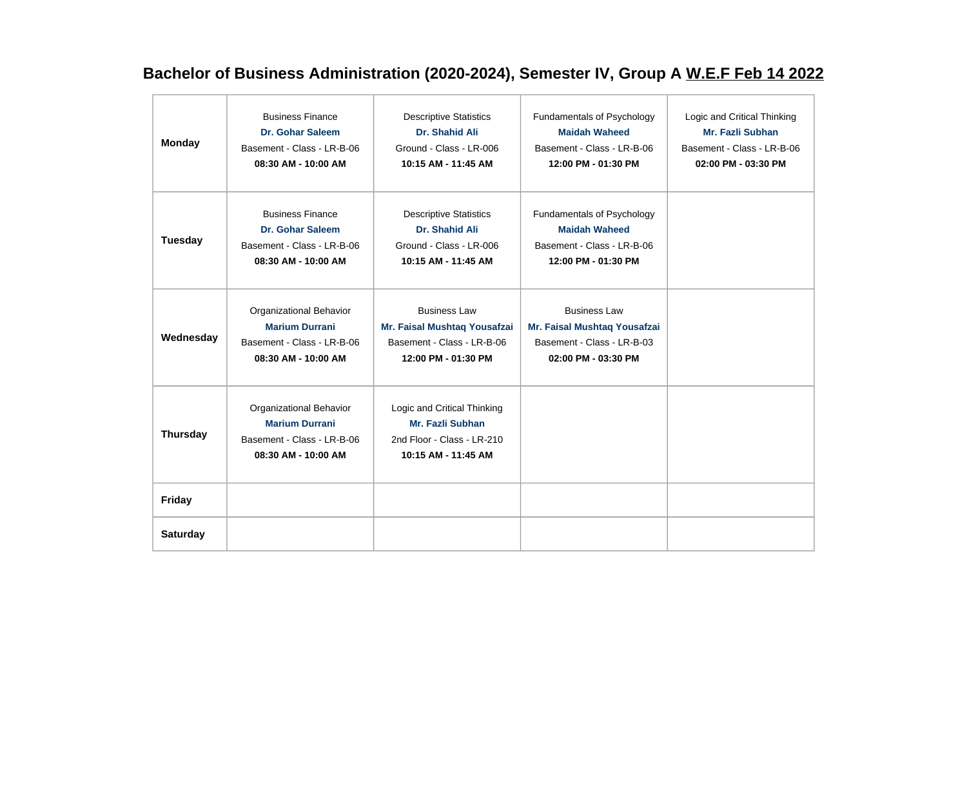## **Bachelor of Business Administration (2020-2024), Semester IV, Group A W.E.F Feb 14 2022**

| <b>Monday</b>   | <b>Business Finance</b><br>Dr. Gohar Saleem<br>Basement - Class - LR-B-06<br>08:30 AM - 10:00 AM      | <b>Descriptive Statistics</b><br>Dr. Shahid Ali<br>Ground - Class - LR-006<br>10:15 AM - 11:45 AM        | Fundamentals of Psychology<br><b>Maidah Waheed</b><br>Basement - Class - LR-B-06<br>12:00 PM - 01:30 PM  | Logic and Critical Thinking<br>Mr. Fazli Subhan<br>Basement - Class - LR-B-06<br>02:00 PM - 03:30 PM |
|-----------------|-------------------------------------------------------------------------------------------------------|----------------------------------------------------------------------------------------------------------|----------------------------------------------------------------------------------------------------------|------------------------------------------------------------------------------------------------------|
| <b>Tuesday</b>  | <b>Business Finance</b><br>Dr. Gohar Saleem<br>Basement - Class - LR-B-06<br>08:30 AM - 10:00 AM      | <b>Descriptive Statistics</b><br>Dr. Shahid Ali<br>Ground - Class - LR-006<br>10:15 AM - 11:45 AM        | Fundamentals of Psychology<br><b>Maidah Waheed</b><br>Basement - Class - LR-B-06<br>12:00 PM - 01:30 PM  |                                                                                                      |
| Wednesday       | Organizational Behavior<br><b>Marium Durrani</b><br>Basement - Class - LR-B-06<br>08:30 AM - 10:00 AM | <b>Business Law</b><br>Mr. Faisal Mushtaq Yousafzai<br>Basement - Class - LR-B-06<br>12:00 PM - 01:30 PM | <b>Business Law</b><br>Mr. Faisal Mushtaq Yousafzai<br>Basement - Class - LR-B-03<br>02:00 PM - 03:30 PM |                                                                                                      |
| <b>Thursday</b> | Organizational Behavior<br><b>Marium Durrani</b><br>Basement - Class - LR-B-06<br>08:30 AM - 10:00 AM | Logic and Critical Thinking<br>Mr. Fazli Subhan<br>2nd Floor - Class - LR-210<br>10:15 AM - 11:45 AM     |                                                                                                          |                                                                                                      |
| Friday          |                                                                                                       |                                                                                                          |                                                                                                          |                                                                                                      |
| <b>Saturday</b> |                                                                                                       |                                                                                                          |                                                                                                          |                                                                                                      |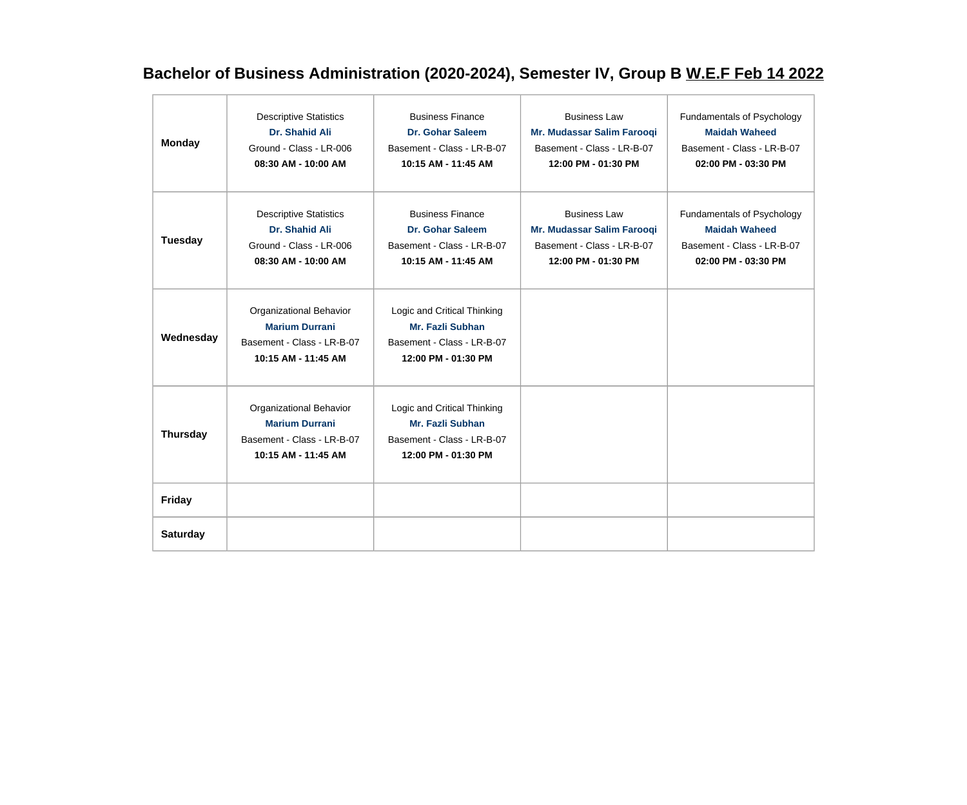## **Bachelor of Business Administration (2020-2024), Semester IV, Group B W.E.F Feb 14 2022**

| <b>Monday</b>   | <b>Descriptive Statistics</b><br>Dr. Shahid Ali<br>Ground - Class - LR-006<br>08:30 AM - 10:00 AM        | <b>Business Finance</b><br>Dr. Gohar Saleem<br>Basement - Class - LR-B-07<br>10:15 AM - 11:45 AM        | <b>Business Law</b><br>Mr. Mudassar Salim Farooqi<br>Basement - Class - LR-B-07<br>12:00 PM - 01:30 PM | Fundamentals of Psychology<br><b>Maidah Waheed</b><br>Basement - Class - LR-B-07<br>02:00 PM - 03:30 PM |
|-----------------|----------------------------------------------------------------------------------------------------------|---------------------------------------------------------------------------------------------------------|--------------------------------------------------------------------------------------------------------|---------------------------------------------------------------------------------------------------------|
| <b>Tuesday</b>  | <b>Descriptive Statistics</b><br><b>Dr. Shahid Ali</b><br>Ground - Class - LR-006<br>08:30 AM - 10:00 AM | <b>Business Finance</b><br><b>Dr. Gohar Saleem</b><br>Basement - Class - LR-B-07<br>10:15 AM - 11:45 AM | <b>Business Law</b><br>Mr. Mudassar Salim Farooqi<br>Basement - Class - LR-B-07<br>12:00 PM - 01:30 PM | Fundamentals of Psychology<br><b>Maidah Waheed</b><br>Basement - Class - LR-B-07<br>02:00 PM - 03:30 PM |
| Wednesday       | Organizational Behavior<br><b>Marium Durrani</b><br>Basement - Class - LR-B-07<br>10:15 AM - 11:45 AM    | Logic and Critical Thinking<br>Mr. Fazli Subhan<br>Basement - Class - LR-B-07<br>12:00 PM - 01:30 PM    |                                                                                                        |                                                                                                         |
| <b>Thursday</b> | Organizational Behavior<br><b>Marium Durrani</b><br>Basement - Class - LR-B-07<br>10:15 AM - 11:45 AM    | Logic and Critical Thinking<br>Mr. Fazli Subhan<br>Basement - Class - LR-B-07<br>12:00 PM - 01:30 PM    |                                                                                                        |                                                                                                         |
| Friday          |                                                                                                          |                                                                                                         |                                                                                                        |                                                                                                         |
| <b>Saturday</b> |                                                                                                          |                                                                                                         |                                                                                                        |                                                                                                         |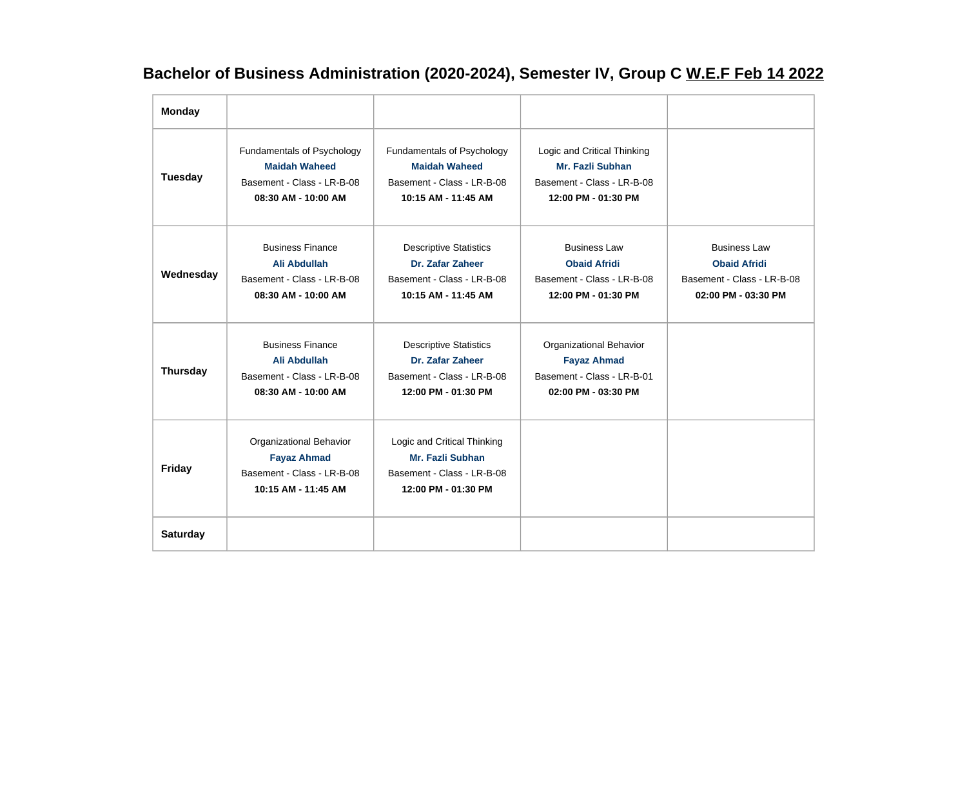## **Bachelor of Business Administration (2020-2024), Semester IV, Group C W.E.F Feb 14 2022**

| <b>Monday</b>   |                                                                                                         |                                                                                                         |                                                                                                             |                                                                                                 |
|-----------------|---------------------------------------------------------------------------------------------------------|---------------------------------------------------------------------------------------------------------|-------------------------------------------------------------------------------------------------------------|-------------------------------------------------------------------------------------------------|
| <b>Tuesday</b>  | Fundamentals of Psychology<br><b>Maidah Waheed</b><br>Basement - Class - LR-B-08<br>08:30 AM - 10:00 AM | Fundamentals of Psychology<br><b>Maidah Waheed</b><br>Basement - Class - LR-B-08<br>10:15 AM - 11:45 AM | Logic and Critical Thinking<br><b>Mr. Fazli Subhan</b><br>Basement - Class - LR-B-08<br>12:00 PM - 01:30 PM |                                                                                                 |
| Wednesday       | <b>Business Finance</b><br>Ali Abdullah<br>Basement - Class - LR-B-08<br>08:30 AM - 10:00 AM            | <b>Descriptive Statistics</b><br>Dr. Zafar Zaheer<br>Basement - Class - LR-B-08<br>10:15 AM - 11:45 AM  | <b>Business Law</b><br><b>Obaid Afridi</b><br>Basement - Class - LR-B-08<br>12:00 PM - 01:30 PM             | <b>Business Law</b><br><b>Obaid Afridi</b><br>Basement - Class - LR-B-08<br>02:00 PM - 03:30 PM |
| <b>Thursday</b> | <b>Business Finance</b><br>Ali Abdullah<br>Basement - Class - LR-B-08<br>08:30 AM - 10:00 AM            | <b>Descriptive Statistics</b><br>Dr. Zafar Zaheer<br>Basement - Class - LR-B-08<br>12:00 PM - 01:30 PM  | Organizational Behavior<br><b>Fayaz Ahmad</b><br>Basement - Class - LR-B-01<br>02:00 PM - 03:30 PM          |                                                                                                 |
| <b>Friday</b>   | Organizational Behavior<br><b>Fayaz Ahmad</b><br>Basement - Class - LR-B-08<br>10:15 AM - 11:45 AM      | Logic and Critical Thinking<br>Mr. Fazli Subhan<br>Basement - Class - LR-B-08<br>12:00 PM - 01:30 PM    |                                                                                                             |                                                                                                 |
| <b>Saturday</b> |                                                                                                         |                                                                                                         |                                                                                                             |                                                                                                 |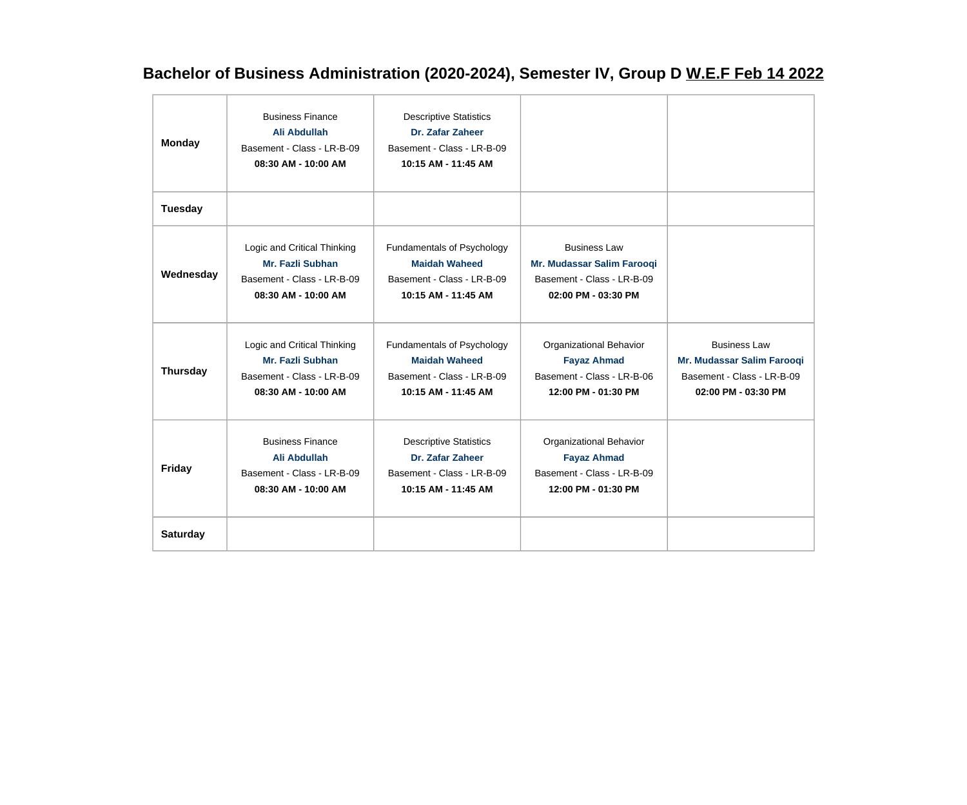## **Bachelor of Business Administration (2020-2024), Semester IV, Group D W.E.F Feb 14 2022**

| <b>Monday</b>   | <b>Business Finance</b><br>Ali Abdullah<br>Basement - Class - LR-B-09<br>08:30 AM - 10:00 AM         | <b>Descriptive Statistics</b><br>Dr. Zafar Zaheer<br>Basement - Class - LR-B-09<br>10:15 AM - 11:45 AM  |                                                                                                        |                                                                                                        |
|-----------------|------------------------------------------------------------------------------------------------------|---------------------------------------------------------------------------------------------------------|--------------------------------------------------------------------------------------------------------|--------------------------------------------------------------------------------------------------------|
| <b>Tuesday</b>  |                                                                                                      |                                                                                                         |                                                                                                        |                                                                                                        |
| Wednesday       | Logic and Critical Thinking<br>Mr. Fazli Subhan<br>Basement - Class - LR-B-09<br>08:30 AM - 10:00 AM | Fundamentals of Psychology<br><b>Maidah Waheed</b><br>Basement - Class - LR-B-09<br>10:15 AM - 11:45 AM | <b>Business Law</b><br>Mr. Mudassar Salim Farooqi<br>Basement - Class - LR-B-09<br>02:00 PM - 03:30 PM |                                                                                                        |
| <b>Thursday</b> | Logic and Critical Thinking<br>Mr. Fazli Subhan<br>Basement - Class - LR-B-09<br>08:30 AM - 10:00 AM | Fundamentals of Psychology<br><b>Maidah Waheed</b><br>Basement - Class - LR-B-09<br>10:15 AM - 11:45 AM | Organizational Behavior<br><b>Fayaz Ahmad</b><br>Basement - Class - LR-B-06<br>12:00 PM - 01:30 PM     | <b>Business Law</b><br>Mr. Mudassar Salim Farooqi<br>Basement - Class - LR-B-09<br>02:00 PM - 03:30 PM |
| <b>Friday</b>   | <b>Business Finance</b><br>Ali Abdullah<br>Basement - Class - LR-B-09<br>08:30 AM - 10:00 AM         | <b>Descriptive Statistics</b><br>Dr. Zafar Zaheer<br>Basement - Class - LR-B-09<br>10:15 AM - 11:45 AM  | Organizational Behavior<br><b>Fayaz Ahmad</b><br>Basement - Class - LR-B-09<br>12:00 PM - 01:30 PM     |                                                                                                        |
| <b>Saturday</b> |                                                                                                      |                                                                                                         |                                                                                                        |                                                                                                        |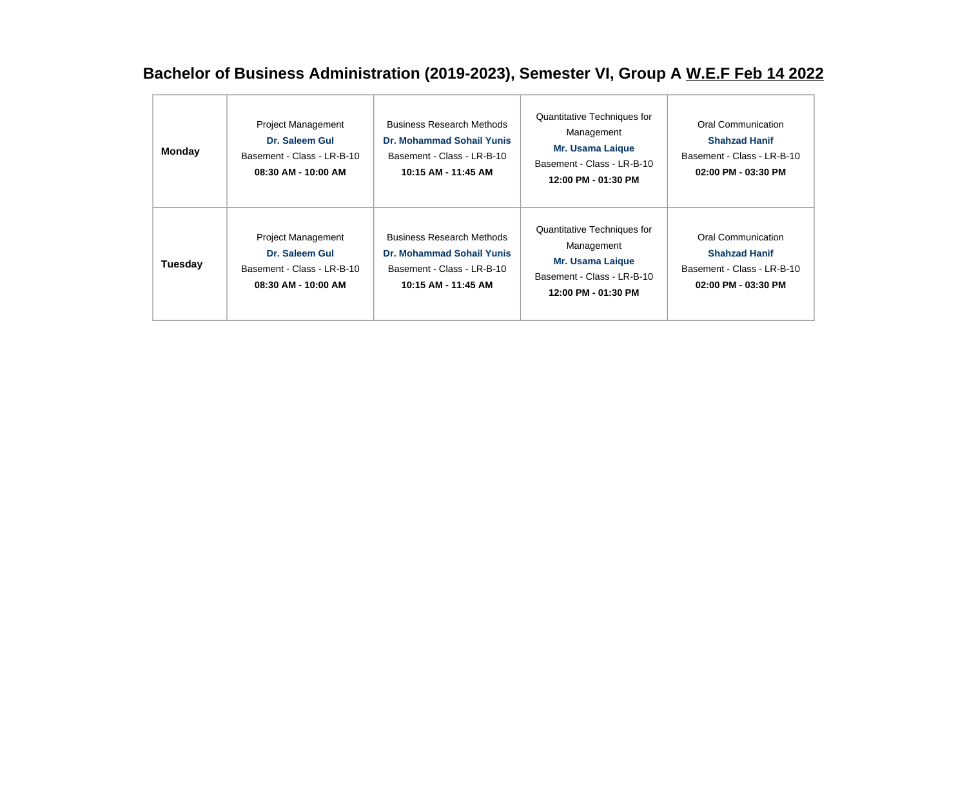## **Bachelor of Business Administration (2019-2023), Semester VI, Group A W.E.F Feb 14 2022**

| <b>Monday</b> | <b>Project Management</b><br>Dr. Saleem Gul<br>Basement - Class - LR-B-10<br>08:30 AM - 10:00 AM | <b>Business Research Methods</b><br>Dr. Mohammad Sohail Yunis<br>Basement - Class - LR-B-10<br>10:15 AM - 11:45 AM        | Quantitative Techniques for<br>Management<br><b>Mr. Usama Laigue</b><br>Basement - Class - LR-B-10<br>12:00 PM - 01:30 PM | Oral Communication<br><b>Shahzad Hanif</b><br>Basement - Class - LR-B-10<br>$02:00$ PM - $03:30$ PM |
|---------------|--------------------------------------------------------------------------------------------------|---------------------------------------------------------------------------------------------------------------------------|---------------------------------------------------------------------------------------------------------------------------|-----------------------------------------------------------------------------------------------------|
| Tuesday       | <b>Project Management</b><br>Dr. Saleem Gul<br>Basement - Class - LR-B-10<br>08:30 AM - 10:00 AM | <b>Business Research Methods</b><br><b>Dr. Mohammad Sohail Yunis</b><br>Basement - Class - LR-B-10<br>10:15 AM - 11:45 AM | Quantitative Techniques for<br>Management<br><b>Mr. Usama Laique</b><br>Basement - Class - LR-B-10<br>12:00 PM - 01:30 PM | Oral Communication<br><b>Shahzad Hanif</b><br>Basement - Class - LR-B-10<br>$02:00$ PM - $03:30$ PM |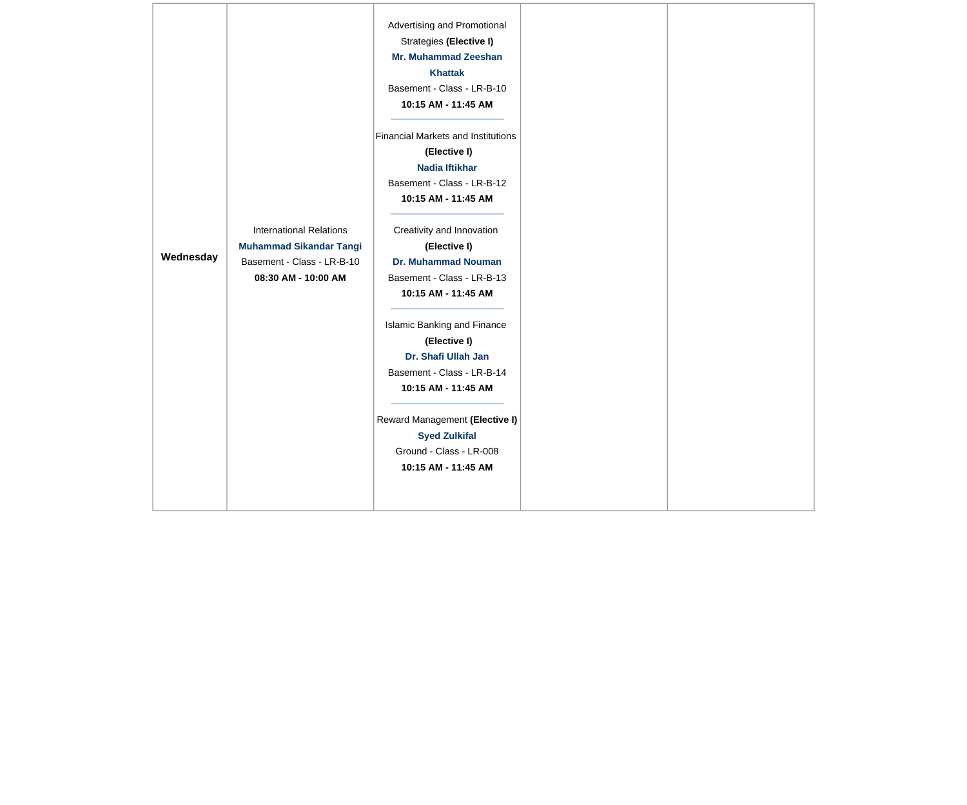|           |                                | Advertising and Promotional               |  |
|-----------|--------------------------------|-------------------------------------------|--|
|           |                                | Strategies (Elective I)                   |  |
|           |                                | <b>Mr. Muhammad Zeeshan</b>               |  |
|           |                                | <b>Khattak</b>                            |  |
|           |                                | Basement - Class - LR-B-10                |  |
|           |                                | 10:15 AM - 11:45 AM                       |  |
|           |                                |                                           |  |
|           |                                | <b>Financial Markets and Institutions</b> |  |
|           |                                | (Elective I)                              |  |
|           |                                | Nadia Iftikhar                            |  |
|           |                                | Basement - Class - LR-B-12                |  |
|           |                                | 10:15 AM - 11:45 AM                       |  |
|           |                                |                                           |  |
|           | <b>International Relations</b> | Creativity and Innovation                 |  |
|           | <b>Muhammad Sikandar Tangi</b> | (Elective I)                              |  |
| Wednesday | Basement - Class - LR-B-10     | <b>Dr. Muhammad Nouman</b>                |  |
|           | 08:30 AM - 10:00 AM            | Basement - Class - LR-B-13                |  |
|           |                                | 10:15 AM - 11:45 AM                       |  |
|           |                                |                                           |  |
|           |                                | Islamic Banking and Finance               |  |
|           |                                | (Elective I)                              |  |
|           |                                | Dr. Shafi Ullah Jan                       |  |
|           |                                | Basement - Class - LR-B-14                |  |
|           |                                | 10:15 AM - 11:45 AM                       |  |
|           |                                |                                           |  |
|           |                                | Reward Management (Elective I)            |  |
|           |                                | <b>Syed Zulkifal</b>                      |  |
|           |                                | Ground - Class - LR-008                   |  |
|           |                                | 10:15 AM - 11:45 AM                       |  |
|           |                                |                                           |  |
|           |                                |                                           |  |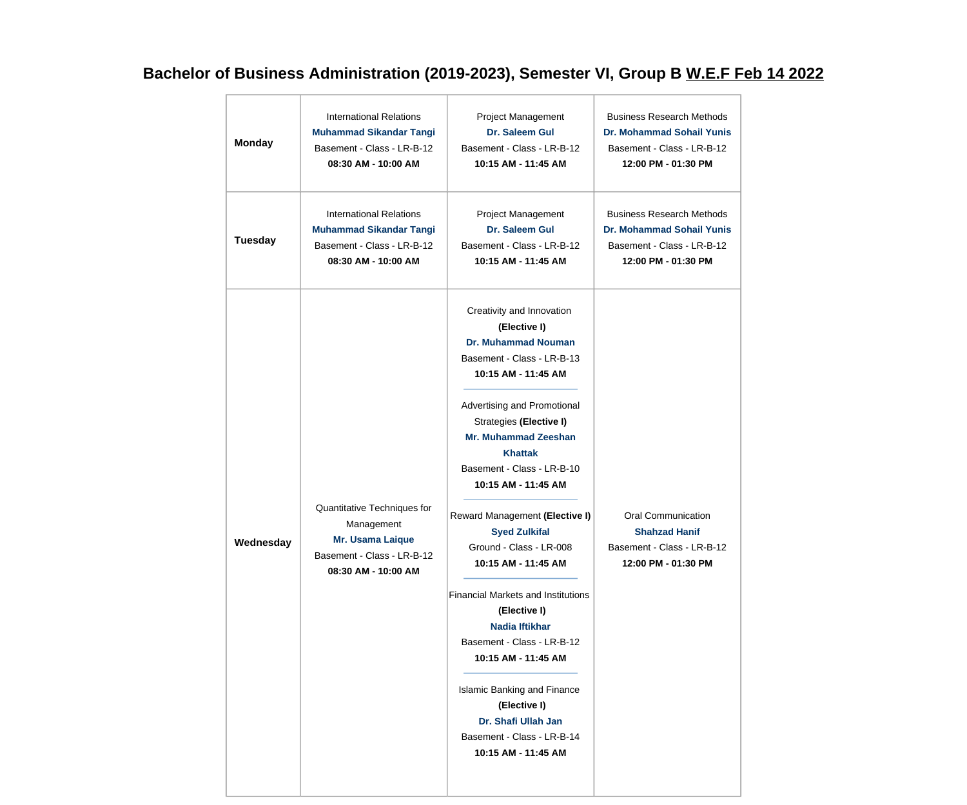## **Bachelor of Business Administration (2019-2023), Semester VI, Group B W.E.F Feb 14 2022**

| <b>Monday</b>  | <b>International Relations</b>                                                                                     | Project Management                                                                                                                                                                                                                                                                                                                                                                                                                                                                                                                                                                                                                                                                    | <b>Business Research Methods</b>                                                                |
|----------------|--------------------------------------------------------------------------------------------------------------------|---------------------------------------------------------------------------------------------------------------------------------------------------------------------------------------------------------------------------------------------------------------------------------------------------------------------------------------------------------------------------------------------------------------------------------------------------------------------------------------------------------------------------------------------------------------------------------------------------------------------------------------------------------------------------------------|-------------------------------------------------------------------------------------------------|
|                | <b>Muhammad Sikandar Tangi</b>                                                                                     | Dr. Saleem Gul                                                                                                                                                                                                                                                                                                                                                                                                                                                                                                                                                                                                                                                                        | <b>Dr. Mohammad Sohail Yunis</b>                                                                |
|                | Basement - Class - LR-B-12                                                                                         | Basement - Class - LR-B-12                                                                                                                                                                                                                                                                                                                                                                                                                                                                                                                                                                                                                                                            | Basement - Class - LR-B-12                                                                      |
|                | 08:30 AM - 10:00 AM                                                                                                | 10:15 AM - 11:45 AM                                                                                                                                                                                                                                                                                                                                                                                                                                                                                                                                                                                                                                                                   | 12:00 PM - 01:30 PM                                                                             |
| <b>Tuesday</b> | <b>International Relations</b>                                                                                     | Project Management                                                                                                                                                                                                                                                                                                                                                                                                                                                                                                                                                                                                                                                                    | <b>Business Research Methods</b>                                                                |
|                | <b>Muhammad Sikandar Tangi</b>                                                                                     | <b>Dr. Saleem Gul</b>                                                                                                                                                                                                                                                                                                                                                                                                                                                                                                                                                                                                                                                                 | <b>Dr. Mohammad Sohail Yunis</b>                                                                |
|                | Basement - Class - LR-B-12                                                                                         | Basement - Class - LR-B-12                                                                                                                                                                                                                                                                                                                                                                                                                                                                                                                                                                                                                                                            | Basement - Class - LR-B-12                                                                      |
|                | 08:30 AM - 10:00 AM                                                                                                | 10:15 AM - 11:45 AM                                                                                                                                                                                                                                                                                                                                                                                                                                                                                                                                                                                                                                                                   | 12:00 PM - 01:30 PM                                                                             |
| Wednesday      | Quantitative Techniques for<br>Management<br>Mr. Usama Laique<br>Basement - Class - LR-B-12<br>08:30 AM - 10:00 AM | Creativity and Innovation<br>(Elective I)<br><b>Dr. Muhammad Nouman</b><br>Basement - Class - LR-B-13<br>10:15 AM - 11:45 AM<br>Advertising and Promotional<br>Strategies (Elective I)<br><b>Mr. Muhammad Zeeshan</b><br><b>Khattak</b><br>Basement - Class - LR-B-10<br>10:15 AM - 11:45 AM<br>Reward Management (Elective I)<br><b>Syed Zulkifal</b><br>Ground - Class - LR-008<br>10:15 AM - 11:45 AM<br><b>Financial Markets and Institutions</b><br>(Elective I)<br><b>Nadia Iftikhar</b><br>Basement - Class - LR-B-12<br>10:15 AM - 11:45 AM<br><b>Islamic Banking and Finance</b><br>(Elective I)<br>Dr. Shafi Ullah Jan<br>Basement - Class - LR-B-14<br>10:15 AM - 11:45 AM | Oral Communication<br><b>Shahzad Hanif</b><br>Basement - Class - LR-B-12<br>12:00 PM - 01:30 PM |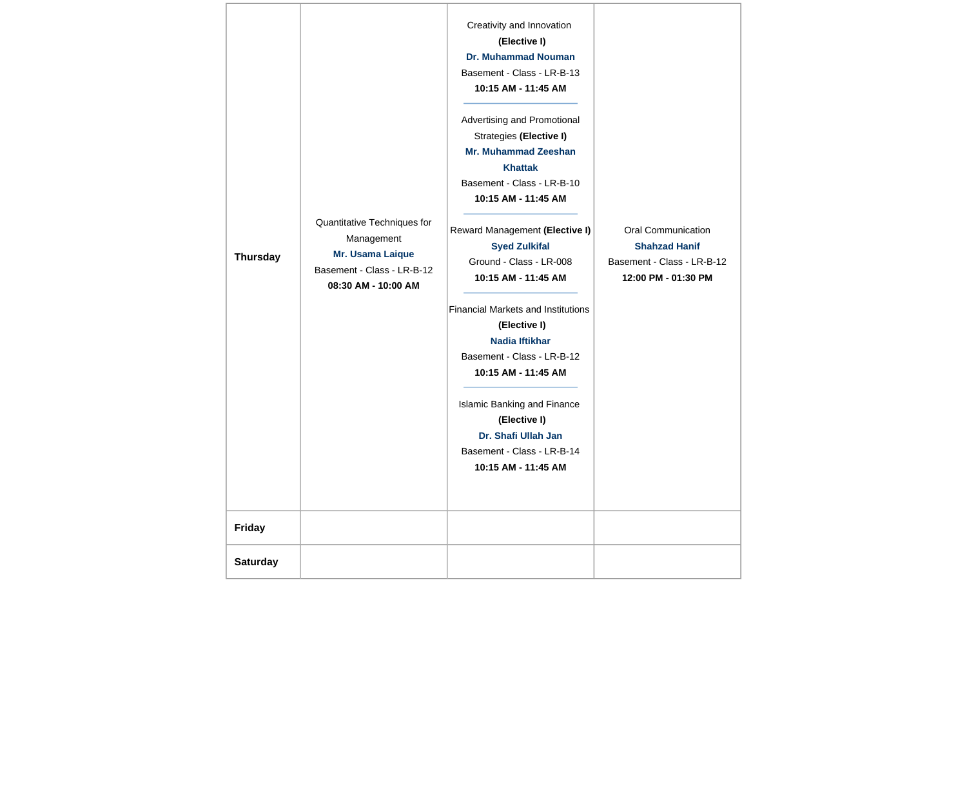| <b>Thursday</b> | Quantitative Techniques for<br>Management<br>Mr. Usama Laique<br>Basement - Class - LR-B-12<br>08:30 AM - 10:00 AM | Creativity and Innovation<br>(Elective I)<br><b>Dr. Muhammad Nouman</b><br>Basement - Class - LR-B-13<br>10:15 AM - 11:45 AM<br>Advertising and Promotional<br>Strategies (Elective I)<br><b>Mr. Muhammad Zeeshan</b><br><b>Khattak</b><br>Basement - Class - LR-B-10<br>10:15 AM - 11:45 AM<br>Reward Management (Elective I)<br><b>Syed Zulkifal</b><br>Ground - Class - LR-008<br>10:15 AM - 11:45 AM<br><b>Financial Markets and Institutions</b><br>(Elective I)<br><b>Nadia Iftikhar</b><br>Basement - Class - LR-B-12<br>10:15 AM - 11:45 AM<br>Islamic Banking and Finance<br>(Elective I)<br>Dr. Shafi Ullah Jan<br>Basement - Class - LR-B-14<br>10:15 AM - 11:45 AM | Oral Communication<br><b>Shahzad Hanif</b><br>Basement - Class - LR-B-12<br>12:00 PM - 01:30 PM |
|-----------------|--------------------------------------------------------------------------------------------------------------------|--------------------------------------------------------------------------------------------------------------------------------------------------------------------------------------------------------------------------------------------------------------------------------------------------------------------------------------------------------------------------------------------------------------------------------------------------------------------------------------------------------------------------------------------------------------------------------------------------------------------------------------------------------------------------------|-------------------------------------------------------------------------------------------------|
| <b>Friday</b>   |                                                                                                                    |                                                                                                                                                                                                                                                                                                                                                                                                                                                                                                                                                                                                                                                                                |                                                                                                 |
| <b>Saturday</b> |                                                                                                                    |                                                                                                                                                                                                                                                                                                                                                                                                                                                                                                                                                                                                                                                                                |                                                                                                 |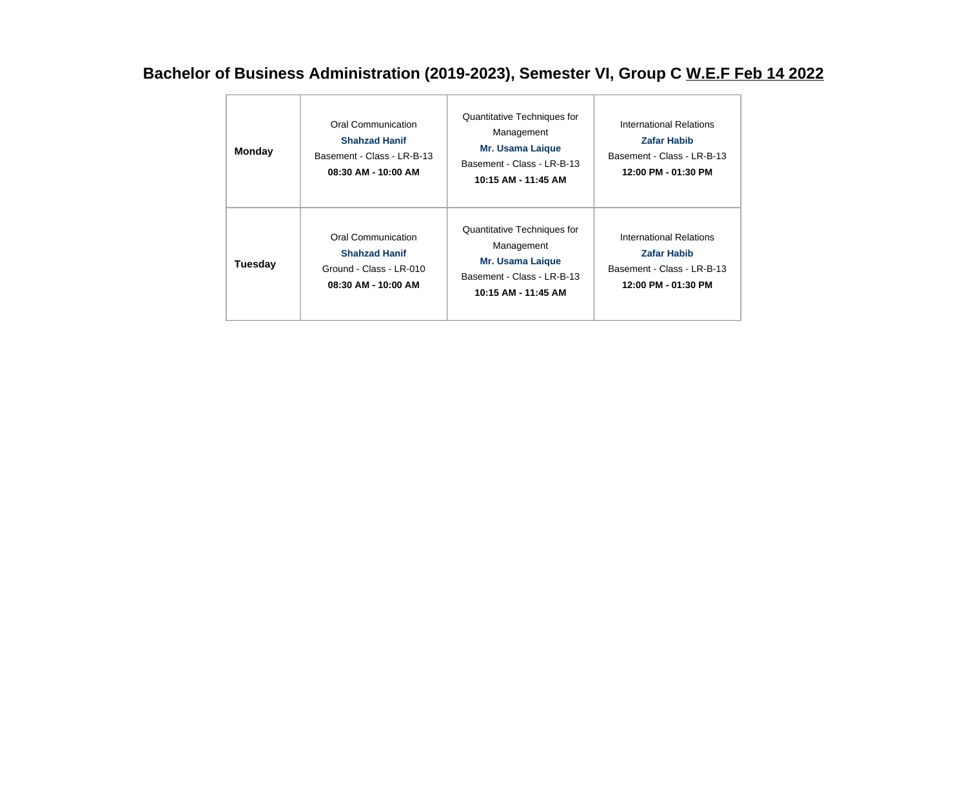### **Bachelor of Business Administration (2019-2023), Semester VI, Group C W.E.F Feb 14 2022**

| <b>Monday</b>  | Oral Communication<br><b>Shahzad Hanif</b><br>Basement - Class - LR-B-13<br>08:30 AM - 10:00 AM | Quantitative Techniques for<br>Management<br><b>Mr. Usama Laigue</b><br>Basement - Class - LR-B-13<br>10:15 AM - 11:45 AM | International Relations<br><b>Zafar Habib</b><br>Basement - Class - LR-B-13<br>12:00 PM - 01:30 PM |
|----------------|-------------------------------------------------------------------------------------------------|---------------------------------------------------------------------------------------------------------------------------|----------------------------------------------------------------------------------------------------|
| <b>Tuesday</b> | Oral Communication<br><b>Shahzad Hanif</b><br>Ground - Class - LR-010<br>08:30 AM - 10:00 AM    | Quantitative Techniques for<br>Management<br><b>Mr. Usama Laigue</b><br>Basement - Class - LR-B-13<br>10:15 AM - 11:45 AM | International Relations<br><b>Zafar Habib</b><br>Basement - Class - LR-B-13<br>12:00 PM - 01:30 PM |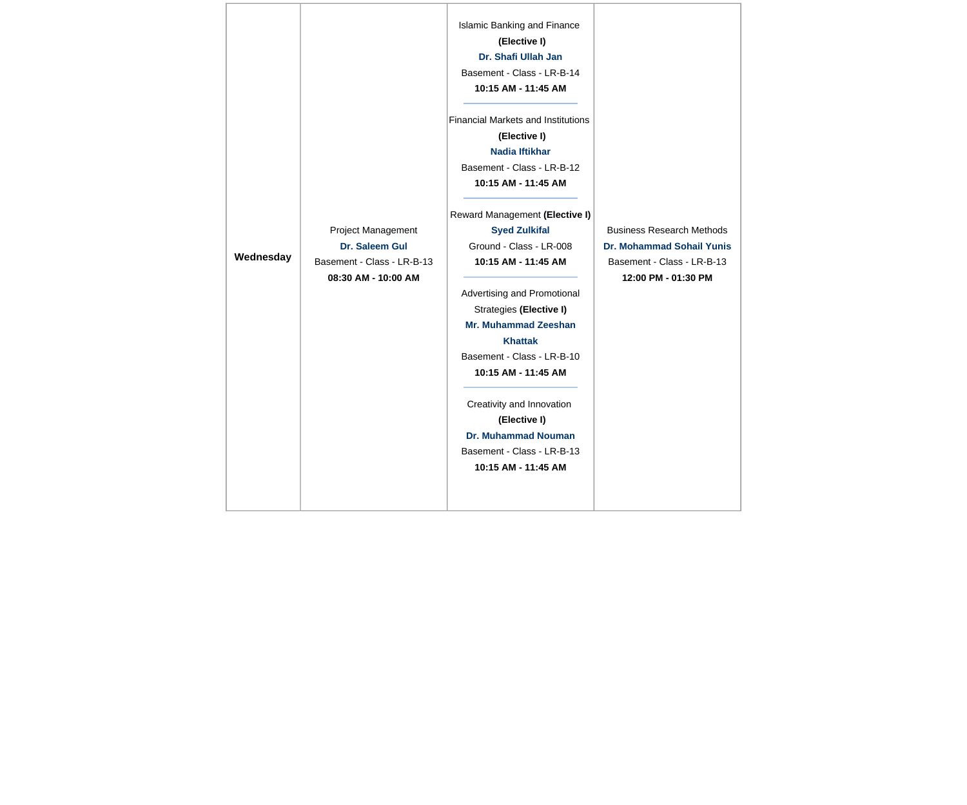| Wednesday | Project Management<br>Dr. Saleem Gul<br>Basement - Class - LR-B-13<br>08:30 AM - 10:00 AM | <b>Islamic Banking and Finance</b><br>(Elective I)<br>Dr. Shafi Ullah Jan<br>Basement - Class - LR-B-14<br>10:15 AM - 11:45 AM<br><b>Financial Markets and Institutions</b><br>(Elective I)<br><b>Nadia Iftikhar</b><br>Basement - Class - LR-B-12<br>10:15 AM - 11:45 AM<br>Reward Management (Elective I)<br><b>Syed Zulkifal</b><br>Ground - Class - LR-008<br>10:15 AM - 11:45 AM<br>Advertising and Promotional<br>Strategies (Elective I)<br><b>Mr. Muhammad Zeeshan</b><br><b>Khattak</b><br>Basement - Class - LR-B-10<br>10:15 AM - 11:45 AM<br>Creativity and Innovation<br>(Elective I)<br><b>Dr. Muhammad Nouman</b><br>Basement - Class - LR-B-13<br>10:15 AM - 11:45 AM | <b>Business Research Methods</b><br>Dr. Mohammad Sohail Yunis<br>Basement - Class - LR-B-13<br>12:00 PM - 01:30 PM |
|-----------|-------------------------------------------------------------------------------------------|---------------------------------------------------------------------------------------------------------------------------------------------------------------------------------------------------------------------------------------------------------------------------------------------------------------------------------------------------------------------------------------------------------------------------------------------------------------------------------------------------------------------------------------------------------------------------------------------------------------------------------------------------------------------------------------|--------------------------------------------------------------------------------------------------------------------|
|-----------|-------------------------------------------------------------------------------------------|---------------------------------------------------------------------------------------------------------------------------------------------------------------------------------------------------------------------------------------------------------------------------------------------------------------------------------------------------------------------------------------------------------------------------------------------------------------------------------------------------------------------------------------------------------------------------------------------------------------------------------------------------------------------------------------|--------------------------------------------------------------------------------------------------------------------|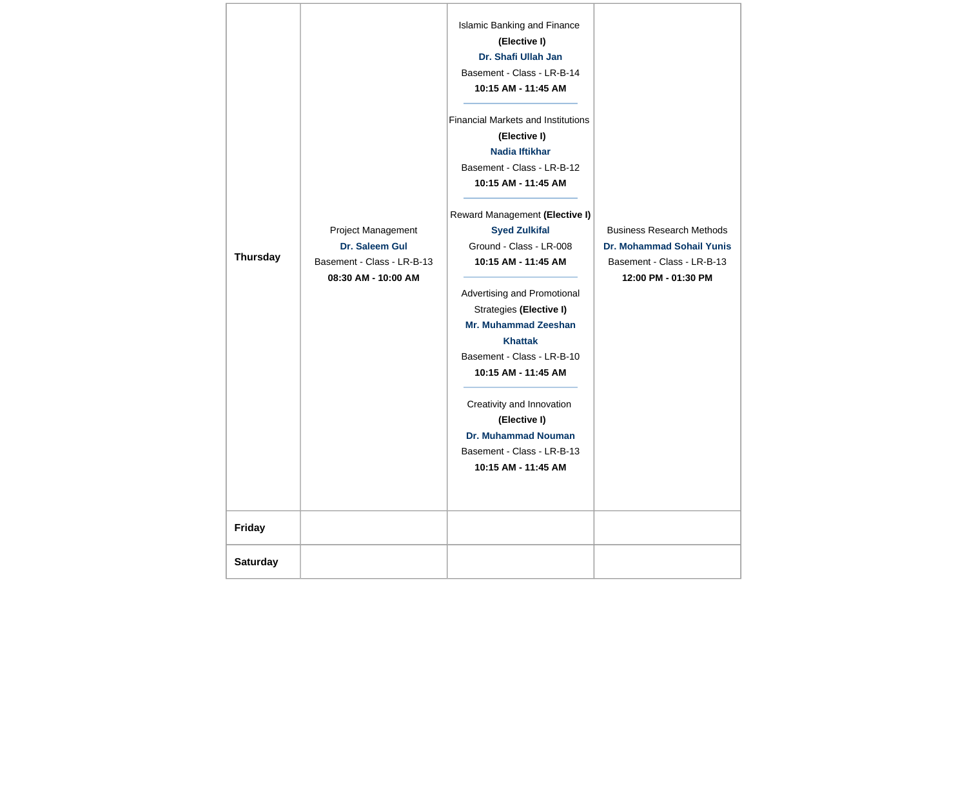| <b>Thursday</b> | Project Management<br>Dr. Saleem Gul<br>Basement - Class - LR-B-13<br>08:30 AM - 10:00 AM | Islamic Banking and Finance<br>(Elective I)<br>Dr. Shafi Ullah Jan<br>Basement - Class - LR-B-14<br>10:15 AM - 11:45 AM<br><b>Financial Markets and Institutions</b><br>(Elective I)<br>Nadia Iftikhar<br>Basement - Class - LR-B-12<br>10:15 AM - 11:45 AM<br>Reward Management (Elective I)<br><b>Syed Zulkifal</b><br>Ground - Class - LR-008<br>10:15 AM - 11:45 AM<br>Advertising and Promotional<br>Strategies (Elective I)<br><b>Mr. Muhammad Zeeshan</b><br><b>Khattak</b><br>Basement - Class - LR-B-10<br>10:15 AM - 11:45 AM<br>Creativity and Innovation<br>(Elective I)<br><b>Dr. Muhammad Nouman</b><br>Basement - Class - LR-B-13<br>10:15 AM - 11:45 AM | <b>Business Research Methods</b><br><b>Dr. Mohammad Sohail Yunis</b><br>Basement - Class - LR-B-13<br>12:00 PM - 01:30 PM |
|-----------------|-------------------------------------------------------------------------------------------|-------------------------------------------------------------------------------------------------------------------------------------------------------------------------------------------------------------------------------------------------------------------------------------------------------------------------------------------------------------------------------------------------------------------------------------------------------------------------------------------------------------------------------------------------------------------------------------------------------------------------------------------------------------------------|---------------------------------------------------------------------------------------------------------------------------|
| Friday          |                                                                                           |                                                                                                                                                                                                                                                                                                                                                                                                                                                                                                                                                                                                                                                                         |                                                                                                                           |
| <b>Saturday</b> |                                                                                           |                                                                                                                                                                                                                                                                                                                                                                                                                                                                                                                                                                                                                                                                         |                                                                                                                           |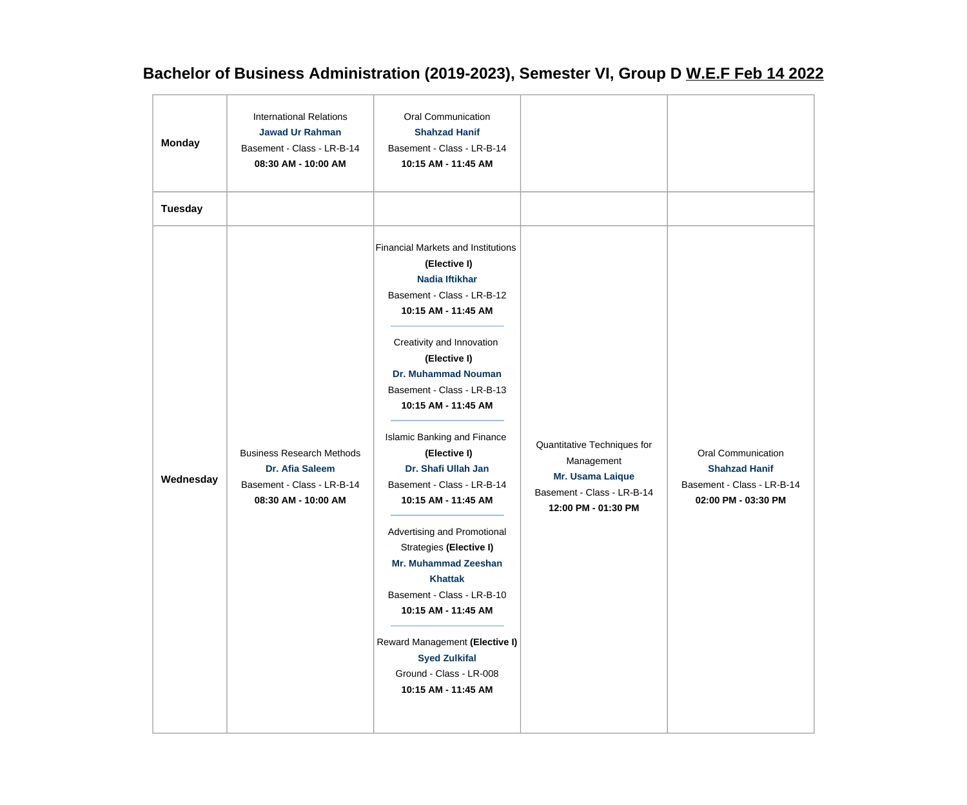## **Bachelor of Business Administration (2019-2023), Semester VI, Group D W.E.F Feb 14 2022**

| <b>Monday</b>  | <b>International Relations</b><br><b>Jawad Ur Rahman</b><br>Basement - Class - LR-B-14<br>08:30 AM - 10:00 AM | Oral Communication<br><b>Shahzad Hanif</b><br>Basement - Class - LR-B-14<br>10:15 AM - 11:45 AM                                                                                                                                                                                                                                                                                                                                                                                                                                                                                                                                                                                |                                                                                                                    |                                                                                                        |
|----------------|---------------------------------------------------------------------------------------------------------------|--------------------------------------------------------------------------------------------------------------------------------------------------------------------------------------------------------------------------------------------------------------------------------------------------------------------------------------------------------------------------------------------------------------------------------------------------------------------------------------------------------------------------------------------------------------------------------------------------------------------------------------------------------------------------------|--------------------------------------------------------------------------------------------------------------------|--------------------------------------------------------------------------------------------------------|
| <b>Tuesday</b> |                                                                                                               |                                                                                                                                                                                                                                                                                                                                                                                                                                                                                                                                                                                                                                                                                |                                                                                                                    |                                                                                                        |
| Wednesday      | <b>Business Research Methods</b><br>Dr. Afia Saleem<br>Basement - Class - LR-B-14<br>08:30 AM - 10:00 AM      | <b>Financial Markets and Institutions</b><br>(Elective I)<br><b>Nadia Iftikhar</b><br>Basement - Class - LR-B-12<br>10:15 AM - 11:45 AM<br>Creativity and Innovation<br>(Elective I)<br><b>Dr. Muhammad Nouman</b><br>Basement - Class - LR-B-13<br>10:15 AM - 11:45 AM<br>Islamic Banking and Finance<br>(Elective I)<br>Dr. Shafi Ullah Jan<br>Basement - Class - LR-B-14<br>10:15 AM - 11:45 AM<br>Advertising and Promotional<br>Strategies (Elective I)<br><b>Mr. Muhammad Zeeshan</b><br><b>Khattak</b><br>Basement - Class - LR-B-10<br>10:15 AM - 11:45 AM<br>Reward Management (Elective I)<br><b>Syed Zulkifal</b><br>Ground - Class - LR-008<br>10:15 AM - 11:45 AM | Quantitative Techniques for<br>Management<br>Mr. Usama Laique<br>Basement - Class - LR-B-14<br>12:00 PM - 01:30 PM | <b>Oral Communication</b><br><b>Shahzad Hanif</b><br>Basement - Class - LR-B-14<br>02:00 PM - 03:30 PM |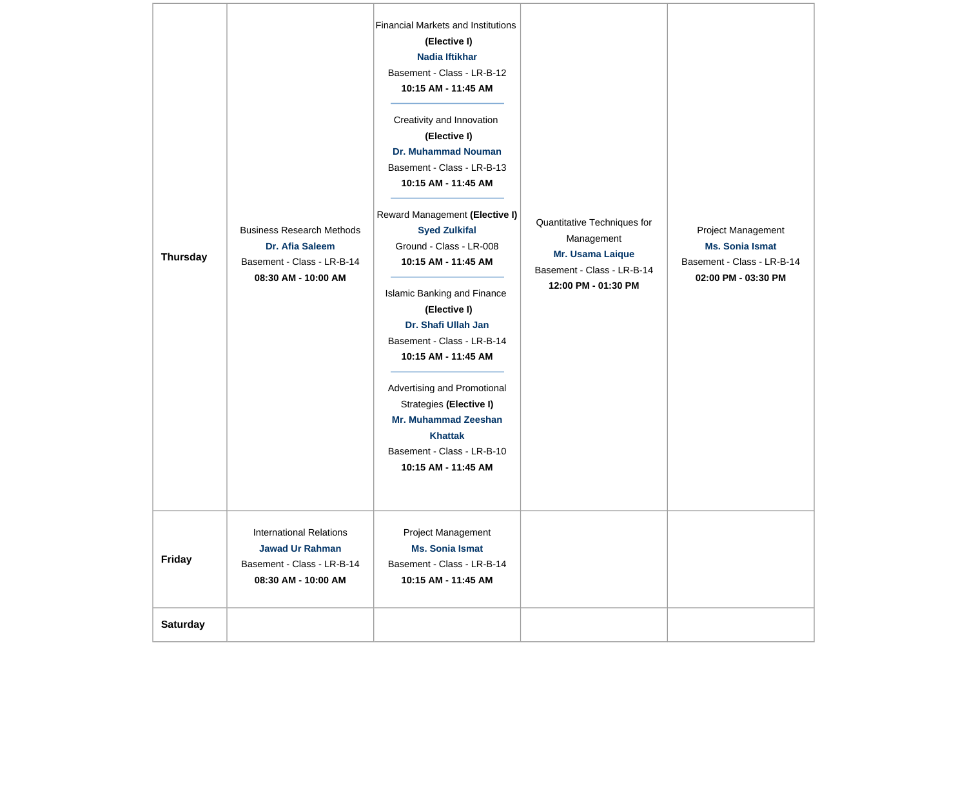| <b>Thursday</b> | <b>Business Research Methods</b><br>Dr. Afia Saleem<br>Basement - Class - LR-B-14<br>08:30 AM - 10:00 AM      | <b>Financial Markets and Institutions</b><br>(Elective I)<br>Nadia Iftikhar<br>Basement - Class - LR-B-12<br>10:15 AM - 11:45 AM<br>Creativity and Innovation<br>(Elective I)<br><b>Dr. Muhammad Nouman</b><br>Basement - Class - LR-B-13<br>10:15 AM - 11:45 AM<br>Reward Management (Elective I)<br><b>Syed Zulkifal</b><br>Ground - Class - LR-008<br>10:15 AM - 11:45 AM<br>Islamic Banking and Finance<br>(Elective I)<br>Dr. Shafi Ullah Jan<br>Basement - Class - LR-B-14<br>10:15 AM - 11:45 AM<br>Advertising and Promotional<br>Strategies (Elective I)<br><b>Mr. Muhammad Zeeshan</b><br><b>Khattak</b><br>Basement - Class - LR-B-10<br>10:15 AM - 11:45 AM | Quantitative Techniques for<br>Management<br>Mr. Usama Laique<br>Basement - Class - LR-B-14<br>12:00 PM - 01:30 PM | Project Management<br><b>Ms. Sonia Ismat</b><br>Basement - Class - LR-B-14<br>02:00 PM - 03:30 PM |
|-----------------|---------------------------------------------------------------------------------------------------------------|-------------------------------------------------------------------------------------------------------------------------------------------------------------------------------------------------------------------------------------------------------------------------------------------------------------------------------------------------------------------------------------------------------------------------------------------------------------------------------------------------------------------------------------------------------------------------------------------------------------------------------------------------------------------------|--------------------------------------------------------------------------------------------------------------------|---------------------------------------------------------------------------------------------------|
| <b>Friday</b>   | <b>International Relations</b><br><b>Jawad Ur Rahman</b><br>Basement - Class - LR-B-14<br>08:30 AM - 10:00 AM | Project Management<br><b>Ms. Sonia Ismat</b><br>Basement - Class - LR-B-14<br>10:15 AM - 11:45 AM                                                                                                                                                                                                                                                                                                                                                                                                                                                                                                                                                                       |                                                                                                                    |                                                                                                   |
| <b>Saturday</b> |                                                                                                               |                                                                                                                                                                                                                                                                                                                                                                                                                                                                                                                                                                                                                                                                         |                                                                                                                    |                                                                                                   |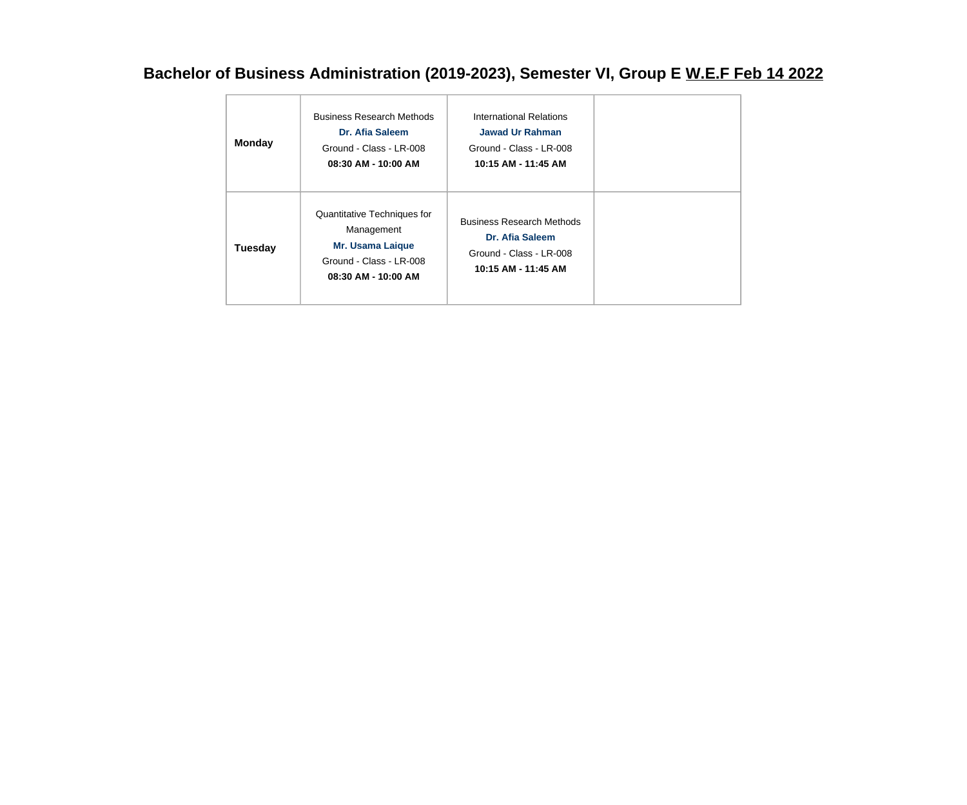## **Bachelor of Business Administration (2019-2023), Semester VI, Group E W.E.F Feb 14 2022**

| <b>Monday</b>  | <b>Business Research Methods</b><br>Dr. Afia Saleem<br>Ground - Class - LR-008<br>08:30 AM - 10:00 AM                  | International Relations<br><b>Jawad Ur Rahman</b><br>Ground - Class - LR-008<br>10:15 AM - 11:45 AM   |  |
|----------------|------------------------------------------------------------------------------------------------------------------------|-------------------------------------------------------------------------------------------------------|--|
| <b>Tuesday</b> | Quantitative Techniques for<br>Management<br><b>Mr. Usama Laique</b><br>Ground - Class - LR-008<br>08:30 AM - 10:00 AM | <b>Business Research Methods</b><br>Dr. Afia Saleem<br>Ground - Class - LR-008<br>10:15 AM - 11:45 AM |  |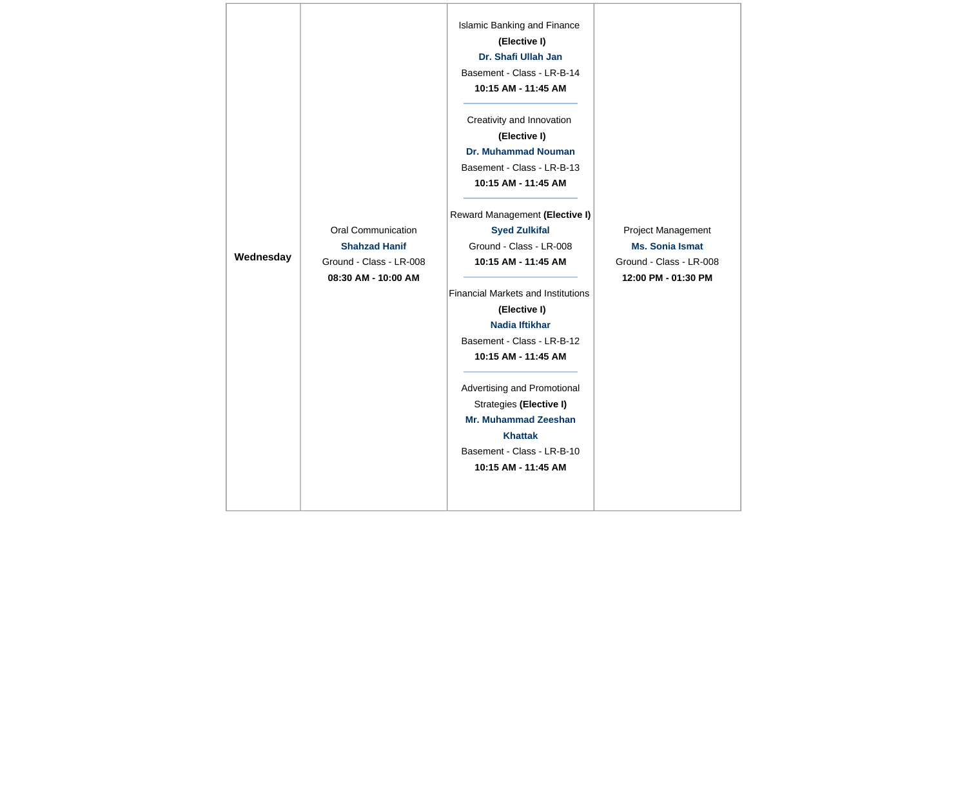| Wednesday | <b>Oral Communication</b><br><b>Shahzad Hanif</b><br>Ground - Class - LR-008<br>08:30 AM - 10:00 AM | Islamic Banking and Finance<br>(Elective I)<br>Dr. Shafi Ullah Jan<br>Basement - Class - LR-B-14<br>10:15 AM - 11:45 AM<br>Creativity and Innovation<br>(Elective I)<br><b>Dr. Muhammad Nouman</b><br>Basement - Class - LR-B-13<br>10:15 AM - 11:45 AM<br>Reward Management (Elective I)<br><b>Syed Zulkifal</b><br>Ground - Class - LR-008<br>10:15 AM - 11:45 AM<br><b>Financial Markets and Institutions</b><br>(Elective I)<br>Nadia Iftikhar<br>Basement - Class - LR-B-12<br>10:15 AM - 11:45 AM<br>Advertising and Promotional<br>Strategies (Elective I)<br>Mr. Muhammad Zeeshan<br><b>Khattak</b> | Project Management<br><b>Ms. Sonia Ismat</b><br>Ground - Class - LR-008<br>12:00 PM - 01:30 PM |
|-----------|-----------------------------------------------------------------------------------------------------|-------------------------------------------------------------------------------------------------------------------------------------------------------------------------------------------------------------------------------------------------------------------------------------------------------------------------------------------------------------------------------------------------------------------------------------------------------------------------------------------------------------------------------------------------------------------------------------------------------------|------------------------------------------------------------------------------------------------|
|-----------|-----------------------------------------------------------------------------------------------------|-------------------------------------------------------------------------------------------------------------------------------------------------------------------------------------------------------------------------------------------------------------------------------------------------------------------------------------------------------------------------------------------------------------------------------------------------------------------------------------------------------------------------------------------------------------------------------------------------------------|------------------------------------------------------------------------------------------------|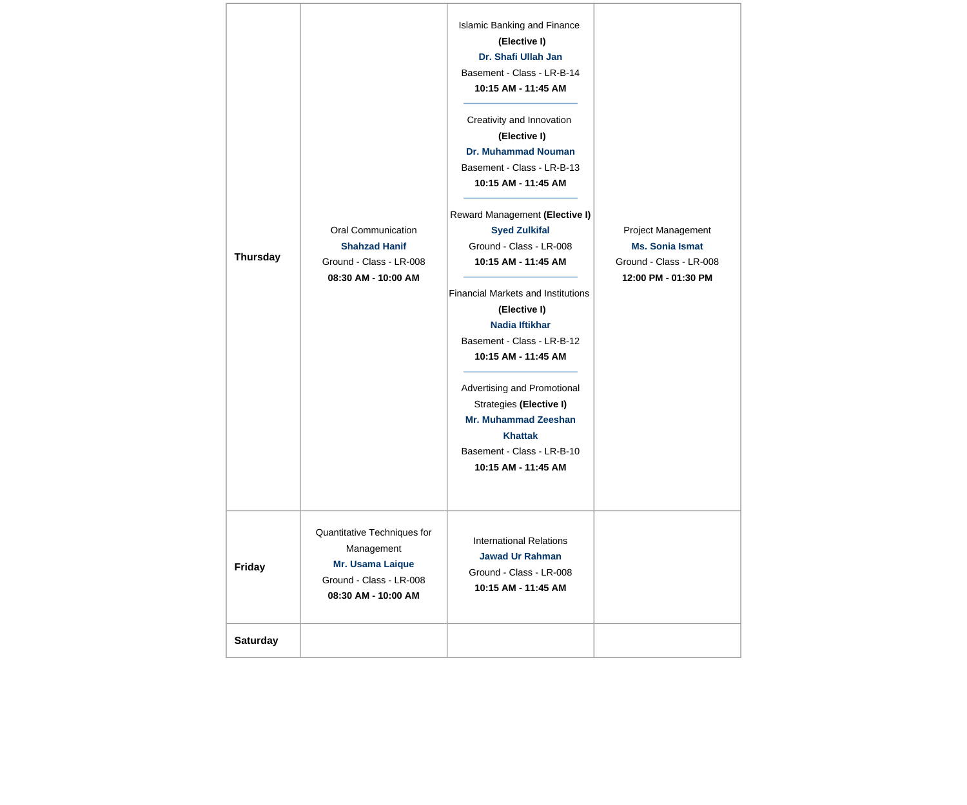| <b>Thursday</b> | Oral Communication<br><b>Shahzad Hanif</b><br>Ground - Class - LR-008<br>08:30 AM - 10:00 AM                    | <b>Islamic Banking and Finance</b><br>(Elective I)<br>Dr. Shafi Ullah Jan<br>Basement - Class - LR-B-14<br>10:15 AM - 11:45 AM<br>Creativity and Innovation<br>(Elective I)<br><b>Dr. Muhammad Nouman</b><br>Basement - Class - LR-B-13<br>10:15 AM - 11:45 AM<br>Reward Management (Elective I)<br><b>Syed Zulkifal</b><br>Ground - Class - LR-008<br>10:15 AM - 11:45 AM<br><b>Financial Markets and Institutions</b><br>(Elective I)<br><b>Nadia Iftikhar</b><br>Basement - Class - LR-B-12<br>10:15 AM - 11:45 AM<br>Advertising and Promotional<br>Strategies (Elective I)<br><b>Mr. Muhammad Zeeshan</b><br><b>Khattak</b><br>Basement - Class - LR-B-10<br>10:15 AM - 11:45 AM | Project Management<br><b>Ms. Sonia Ismat</b><br>Ground - Class - LR-008<br>12:00 PM - 01:30 PM |
|-----------------|-----------------------------------------------------------------------------------------------------------------|---------------------------------------------------------------------------------------------------------------------------------------------------------------------------------------------------------------------------------------------------------------------------------------------------------------------------------------------------------------------------------------------------------------------------------------------------------------------------------------------------------------------------------------------------------------------------------------------------------------------------------------------------------------------------------------|------------------------------------------------------------------------------------------------|
| Friday          | Quantitative Techniques for<br>Management<br>Mr. Usama Laique<br>Ground - Class - LR-008<br>08:30 AM - 10:00 AM | <b>International Relations</b><br><b>Jawad Ur Rahman</b><br>Ground - Class - LR-008<br>10:15 AM - 11:45 AM                                                                                                                                                                                                                                                                                                                                                                                                                                                                                                                                                                            |                                                                                                |
| <b>Saturday</b> |                                                                                                                 |                                                                                                                                                                                                                                                                                                                                                                                                                                                                                                                                                                                                                                                                                       |                                                                                                |

 $\overline{a}$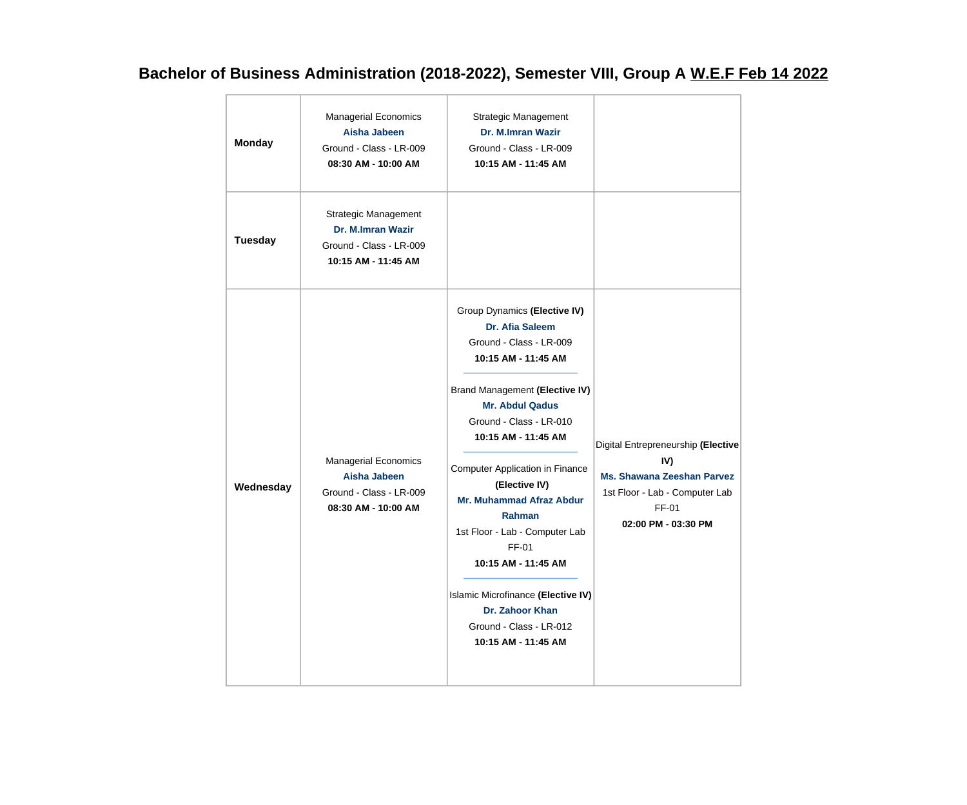## **Bachelor of Business Administration (2018-2022), Semester VIII, Group A W.E.F Feb 14 2022**

| <b>Monday</b>  | <b>Managerial Economics</b><br>Aisha Jabeen<br>Ground - Class - LR-009<br>08:30 AM - 10:00 AM      | Strategic Management<br>Dr. M.Imran Wazir<br>Ground - Class - LR-009<br>10:15 AM - 11:45 AM                                                                                                                                                                                                                                                                                                                                                                                                          |                                                                                                                                                  |
|----------------|----------------------------------------------------------------------------------------------------|------------------------------------------------------------------------------------------------------------------------------------------------------------------------------------------------------------------------------------------------------------------------------------------------------------------------------------------------------------------------------------------------------------------------------------------------------------------------------------------------------|--------------------------------------------------------------------------------------------------------------------------------------------------|
| <b>Tuesday</b> | <b>Strategic Management</b><br>Dr. M.Imran Wazir<br>Ground - Class - LR-009<br>10:15 AM - 11:45 AM |                                                                                                                                                                                                                                                                                                                                                                                                                                                                                                      |                                                                                                                                                  |
| Wednesday      | <b>Managerial Economics</b><br>Aisha Jabeen<br>Ground - Class - LR-009<br>08:30 AM - 10:00 AM      | Group Dynamics (Elective IV)<br>Dr. Afia Saleem<br>Ground - Class - LR-009<br>10:15 AM - 11:45 AM<br>Brand Management (Elective IV)<br><b>Mr. Abdul Qadus</b><br>Ground - Class - LR-010<br>10:15 AM - 11:45 AM<br><b>Computer Application in Finance</b><br>(Elective IV)<br><b>Mr. Muhammad Afraz Abdur</b><br>Rahman<br>1st Floor - Lab - Computer Lab<br>FF-01<br>10:15 AM - 11:45 AM<br>Islamic Microfinance (Elective IV)<br>Dr. Zahoor Khan<br>Ground - Class - LR-012<br>10:15 AM - 11:45 AM | Digital Entrepreneurship (Elective<br>IV)<br><b>Ms. Shawana Zeeshan Parvez</b><br>1st Floor - Lab - Computer Lab<br>FF-01<br>02:00 PM - 03:30 PM |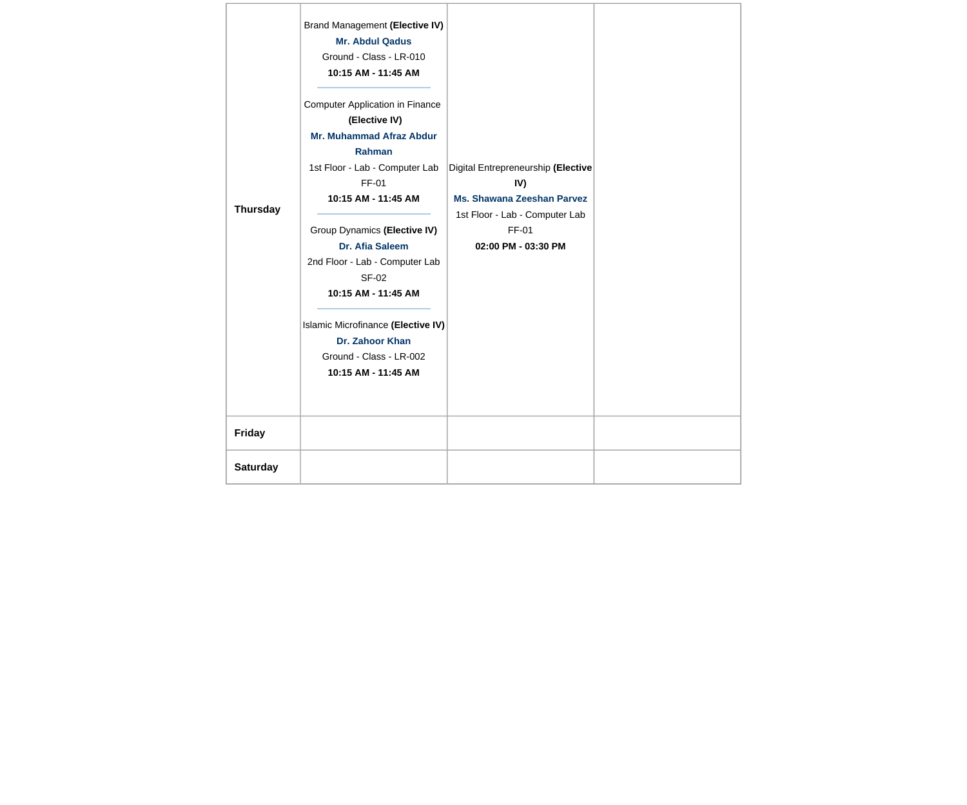| <b>Thursday</b> | Brand Management (Elective IV)<br><b>Mr. Abdul Qadus</b><br>Ground - Class - LR-010<br>10:15 AM - 11:45 AM<br><b>Computer Application in Finance</b><br>(Elective IV)<br><b>Mr. Muhammad Afraz Abdur</b><br><b>Rahman</b><br>1st Floor - Lab - Computer Lab<br>FF-01<br>10:15 AM - 11:45 AM<br>Group Dynamics (Elective IV)<br>Dr. Afia Saleem<br>2nd Floor - Lab - Computer Lab<br><b>SF-02</b><br>10:15 AM - 11:45 AM<br>Islamic Microfinance (Elective IV)<br>Dr. Zahoor Khan<br>Ground - Class - LR-002<br>10:15 AM - 11:45 AM | Digital Entrepreneurship (Elective<br>IV)<br><b>Ms. Shawana Zeeshan Parvez</b><br>1st Floor - Lab - Computer Lab<br>FF-01<br>02:00 PM - 03:30 PM |  |
|-----------------|------------------------------------------------------------------------------------------------------------------------------------------------------------------------------------------------------------------------------------------------------------------------------------------------------------------------------------------------------------------------------------------------------------------------------------------------------------------------------------------------------------------------------------|--------------------------------------------------------------------------------------------------------------------------------------------------|--|
| <b>Friday</b>   |                                                                                                                                                                                                                                                                                                                                                                                                                                                                                                                                    |                                                                                                                                                  |  |
| <b>Saturday</b> |                                                                                                                                                                                                                                                                                                                                                                                                                                                                                                                                    |                                                                                                                                                  |  |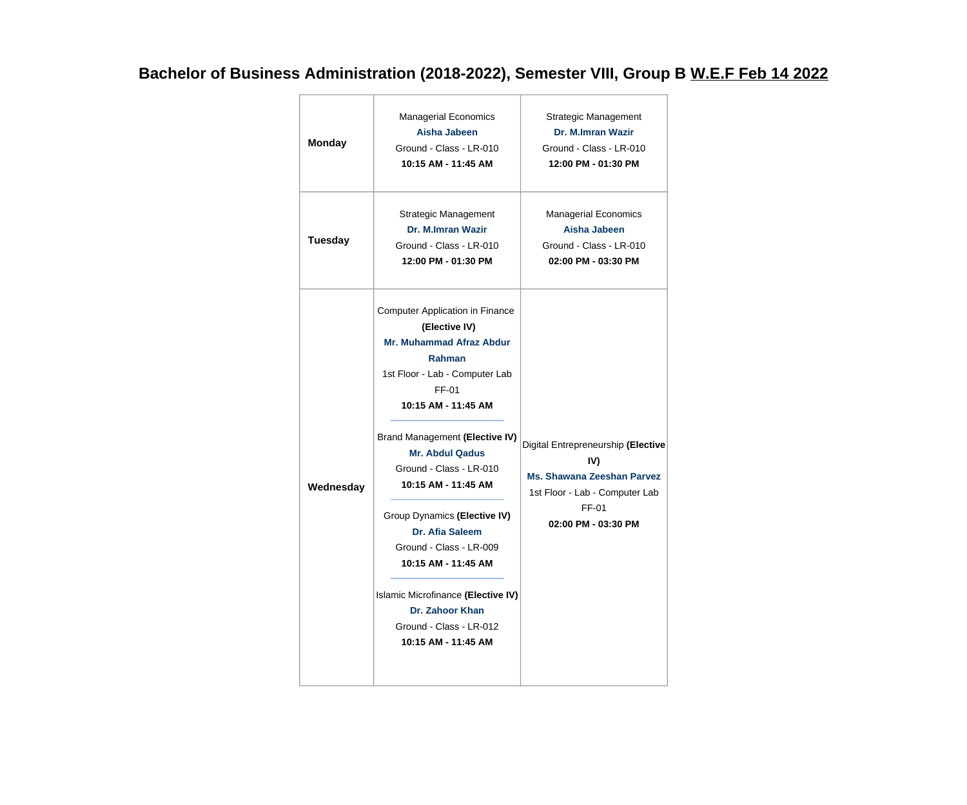## **Bachelor of Business Administration (2018-2022), Semester VIII, Group B W.E.F Feb 14 2022**

| <b>Monday</b>  | <b>Managerial Economics</b><br><b>Aisha Jabeen</b><br>Ground - Class - LR-010<br>10:15 AM - 11:45 AM                                                                                                                                                                                                                                                                                                                                                                                                               | Strategic Management<br>Dr. M.Imran Wazir<br>Ground - Class - LR-010<br>12:00 PM - 01:30 PM                                                             |
|----------------|--------------------------------------------------------------------------------------------------------------------------------------------------------------------------------------------------------------------------------------------------------------------------------------------------------------------------------------------------------------------------------------------------------------------------------------------------------------------------------------------------------------------|---------------------------------------------------------------------------------------------------------------------------------------------------------|
| <b>Tuesday</b> | <b>Strategic Management</b><br>Dr. M.Imran Wazir<br>Ground - Class - LR-010<br>12:00 PM - 01:30 PM                                                                                                                                                                                                                                                                                                                                                                                                                 | <b>Managerial Economics</b><br>Aisha Jabeen<br>Ground - Class - LR-010<br>02:00 PM - 03:30 PM                                                           |
| Wednesday      | <b>Computer Application in Finance</b><br>(Elective IV)<br><b>Mr. Muhammad Afraz Abdur</b><br><b>Rahman</b><br>1st Floor - Lab - Computer Lab<br>FF-01<br>10:15 AM - 11:45 AM<br>Brand Management (Elective IV)<br><b>Mr. Abdul Qadus</b><br>Ground - Class - LR-010<br>10:15 AM - 11:45 AM<br>Group Dynamics (Elective IV)<br><b>Dr. Afia Saleem</b><br>Ground - Class - LR-009<br>10:15 AM - 11:45 AM<br>Islamic Microfinance (Elective IV)<br>Dr. Zahoor Khan<br>Ground - Class - LR-012<br>10:15 AM - 11:45 AM | Digital Entrepreneurship (Elective<br>IV)<br><b>Ms. Shawana Zeeshan Parvez</b><br>1st Floor - Lab - Computer Lab<br><b>FF-01</b><br>02:00 PM - 03:30 PM |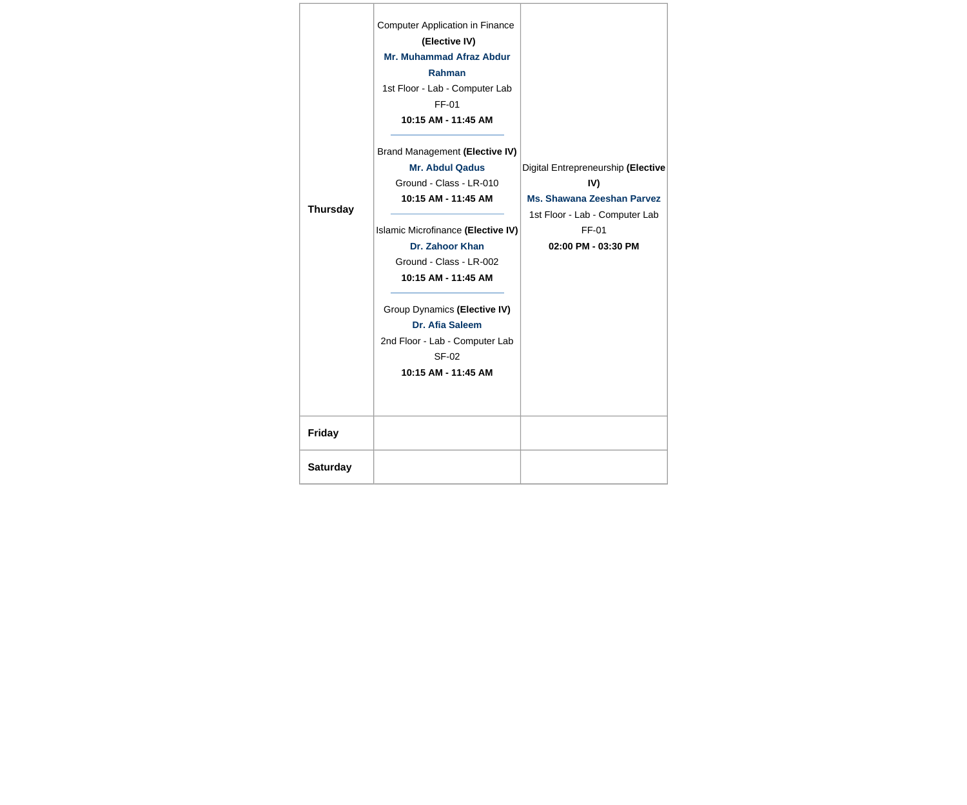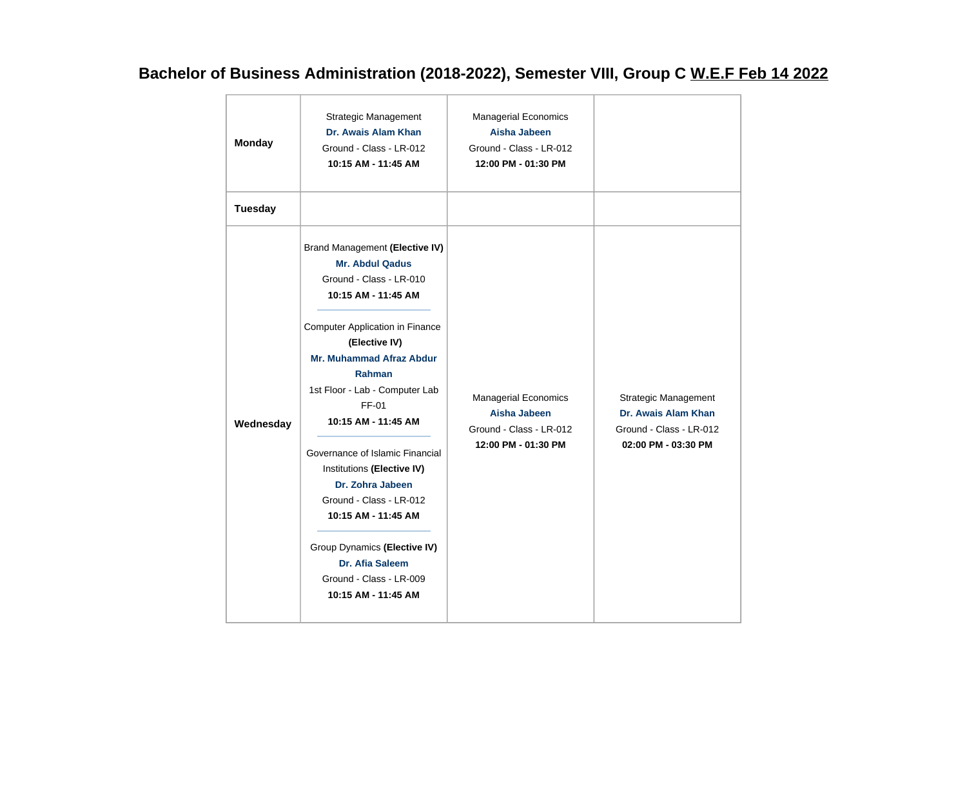## **Bachelor of Business Administration (2018-2022), Semester VIII, Group C W.E.F Feb 14 2022**

| <b>Monday</b>  | Strategic Management<br>Dr. Awais Alam Khan<br>Ground - Class - LR-012<br>10:15 AM - 11:45 AM                                                                                                                                                                                                                                                                                                                                                                                                                                                  | <b>Managerial Economics</b><br>Aisha Jabeen<br>Ground - Class - LR-012<br>12:00 PM - 01:30 PM |                                                                                                      |
|----------------|------------------------------------------------------------------------------------------------------------------------------------------------------------------------------------------------------------------------------------------------------------------------------------------------------------------------------------------------------------------------------------------------------------------------------------------------------------------------------------------------------------------------------------------------|-----------------------------------------------------------------------------------------------|------------------------------------------------------------------------------------------------------|
| <b>Tuesday</b> |                                                                                                                                                                                                                                                                                                                                                                                                                                                                                                                                                |                                                                                               |                                                                                                      |
| Wednesday      | Brand Management (Elective IV)<br><b>Mr. Abdul Qadus</b><br>Ground - Class - LR-010<br>10:15 AM - 11:45 AM<br><b>Computer Application in Finance</b><br>(Elective IV)<br><b>Mr. Muhammad Afraz Abdur</b><br><b>Rahman</b><br>1st Floor - Lab - Computer Lab<br>FF-01<br>10:15 AM - 11:45 AM<br>Governance of Islamic Financial<br>Institutions (Elective IV)<br>Dr. Zohra Jabeen<br>Ground - Class - LR-012<br>10:15 AM - 11:45 AM<br>Group Dynamics (Elective IV)<br><b>Dr. Afia Saleem</b><br>Ground - Class - LR-009<br>10:15 AM - 11:45 AM | <b>Managerial Economics</b><br>Aisha Jabeen<br>Ground - Class - LR-012<br>12:00 PM - 01:30 PM | <b>Strategic Management</b><br>Dr. Awais Alam Khan<br>Ground - Class - LR-012<br>02:00 PM - 03:30 PM |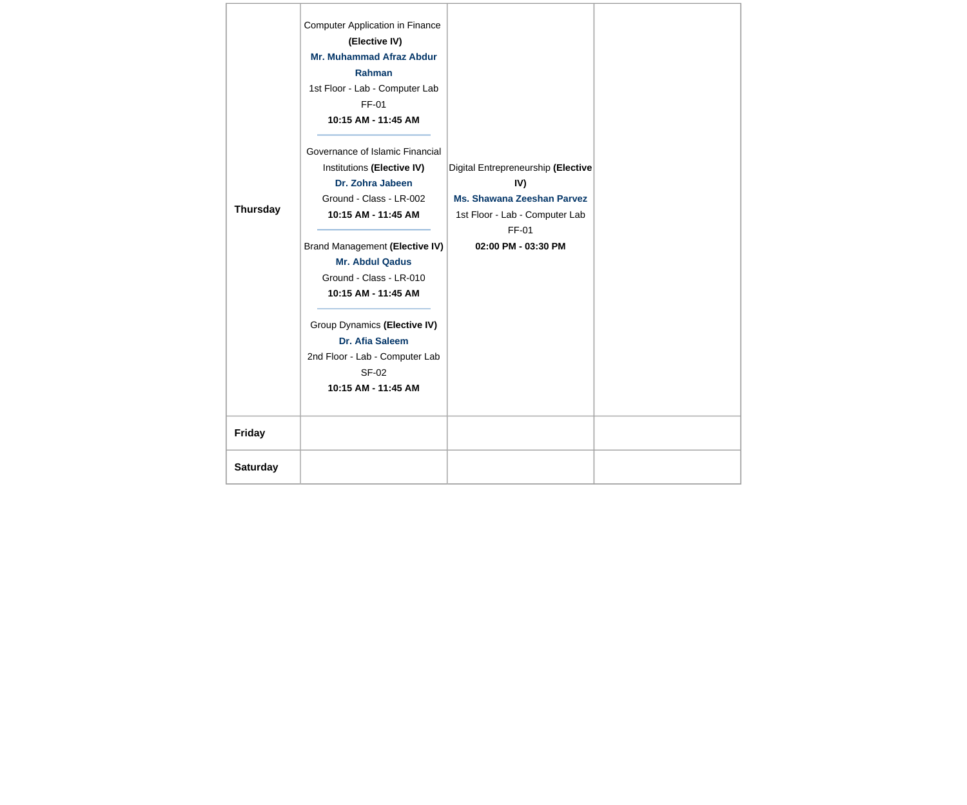| <b>Thursday</b> | <b>Computer Application in Finance</b><br>(Elective IV)<br><b>Mr. Muhammad Afraz Abdur</b><br>Rahman<br>1st Floor - Lab - Computer Lab<br>FF-01<br>10:15 AM - 11:45 AM<br>Governance of Islamic Financial<br>Institutions (Elective IV)<br>Dr. Zohra Jabeen<br>Ground - Class - LR-002<br>10:15 AM - 11:45 AM<br>Brand Management (Elective IV)<br><b>Mr. Abdul Qadus</b><br>Ground - Class - LR-010<br>10:15 AM - 11:45 AM<br>Group Dynamics (Elective IV)<br>Dr. Afia Saleem<br>2nd Floor - Lab - Computer Lab<br><b>SF-02</b><br>10:15 AM - 11:45 AM | Digital Entrepreneurship (Elective<br>IV)<br><b>Ms. Shawana Zeeshan Parvez</b><br>1st Floor - Lab - Computer Lab<br>FF-01<br>02:00 PM - 03:30 PM |  |
|-----------------|---------------------------------------------------------------------------------------------------------------------------------------------------------------------------------------------------------------------------------------------------------------------------------------------------------------------------------------------------------------------------------------------------------------------------------------------------------------------------------------------------------------------------------------------------------|--------------------------------------------------------------------------------------------------------------------------------------------------|--|
| <b>Friday</b>   |                                                                                                                                                                                                                                                                                                                                                                                                                                                                                                                                                         |                                                                                                                                                  |  |
| <b>Saturday</b> |                                                                                                                                                                                                                                                                                                                                                                                                                                                                                                                                                         |                                                                                                                                                  |  |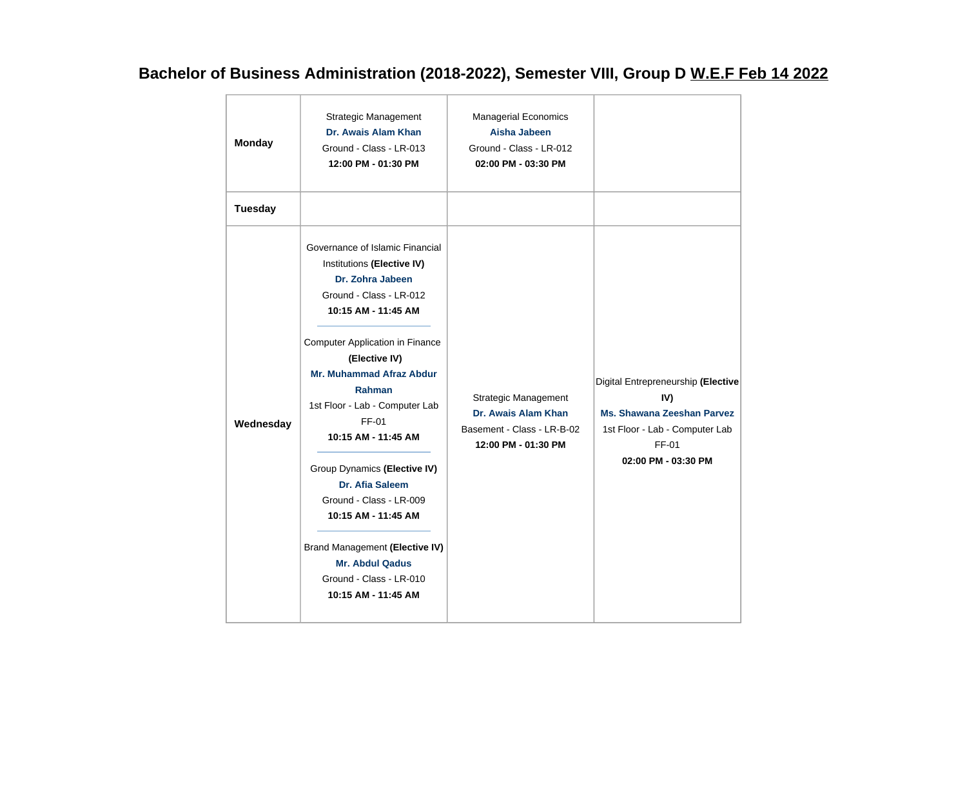## **Bachelor of Business Administration (2018-2022), Semester VIII, Group D W.E.F Feb 14 2022**

| <b>Monday</b>  | <b>Strategic Management</b><br>Dr. Awais Alam Khan<br>Ground - Class - LR-013<br>12:00 PM - 01:30 PM                                                                                                                                                                                                                                                                                                                                                                                                                                    | <b>Managerial Economics</b><br>Aisha Jabeen<br>Ground - Class - LR-012<br>02:00 PM - 03:30 PM           |                                                                                                                                                  |
|----------------|-----------------------------------------------------------------------------------------------------------------------------------------------------------------------------------------------------------------------------------------------------------------------------------------------------------------------------------------------------------------------------------------------------------------------------------------------------------------------------------------------------------------------------------------|---------------------------------------------------------------------------------------------------------|--------------------------------------------------------------------------------------------------------------------------------------------------|
| <b>Tuesday</b> |                                                                                                                                                                                                                                                                                                                                                                                                                                                                                                                                         |                                                                                                         |                                                                                                                                                  |
| Wednesday      | Governance of Islamic Financial<br>Institutions (Elective IV)<br>Dr. Zohra Jabeen<br>Ground - Class - LR-012<br>10:15 AM - 11:45 AM<br><b>Computer Application in Finance</b><br>(Elective IV)<br><b>Mr. Muhammad Afraz Abdur</b><br>Rahman<br>1st Floor - Lab - Computer Lab<br>FF-01<br>10:15 AM - 11:45 AM<br>Group Dynamics (Elective IV)<br><b>Dr. Afia Saleem</b><br>Ground - Class - LR-009<br>10:15 AM - 11:45 AM<br>Brand Management (Elective IV)<br><b>Mr. Abdul Qadus</b><br>Ground - Class - LR-010<br>10:15 AM - 11:45 AM | <b>Strategic Management</b><br>Dr. Awais Alam Khan<br>Basement - Class - LR-B-02<br>12:00 PM - 01:30 PM | Digital Entrepreneurship (Elective<br>IV)<br><b>Ms. Shawana Zeeshan Parvez</b><br>1st Floor - Lab - Computer Lab<br>FF-01<br>02:00 PM - 03:30 PM |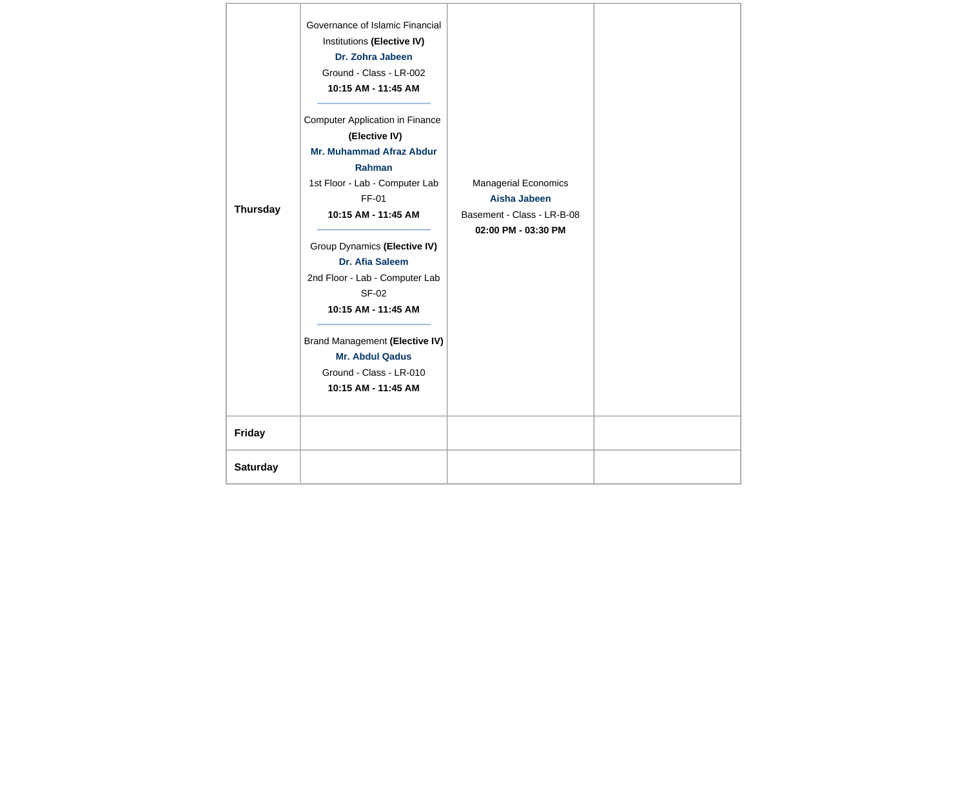| Thursday        | Governance of Islamic Financial<br>Institutions (Elective IV)<br>Dr. Zohra Jabeen<br>Ground - Class - LR-002<br>10:15 AM - 11:45 AM<br><b>Computer Application in Finance</b><br>(Elective IV)<br><b>Mr. Muhammad Afraz Abdur</b><br>Rahman<br>1st Floor - Lab - Computer Lab<br>FF-01<br>10:15 AM - 11:45 AM<br>Group Dynamics (Elective IV)<br>Dr. Afia Saleem<br>2nd Floor - Lab - Computer Lab<br><b>SF-02</b><br>10:15 AM - 11:45 AM<br>Brand Management (Elective IV)<br><b>Mr. Abdul Qadus</b><br>Ground - Class - LR-010<br>10:15 AM - 11:45 AM | <b>Managerial Economics</b><br><b>Aisha Jabeen</b><br>Basement - Class - LR-B-08<br>02:00 PM - 03:30 PM |  |
|-----------------|---------------------------------------------------------------------------------------------------------------------------------------------------------------------------------------------------------------------------------------------------------------------------------------------------------------------------------------------------------------------------------------------------------------------------------------------------------------------------------------------------------------------------------------------------------|---------------------------------------------------------------------------------------------------------|--|
| <b>Friday</b>   |                                                                                                                                                                                                                                                                                                                                                                                                                                                                                                                                                         |                                                                                                         |  |
| <b>Saturday</b> |                                                                                                                                                                                                                                                                                                                                                                                                                                                                                                                                                         |                                                                                                         |  |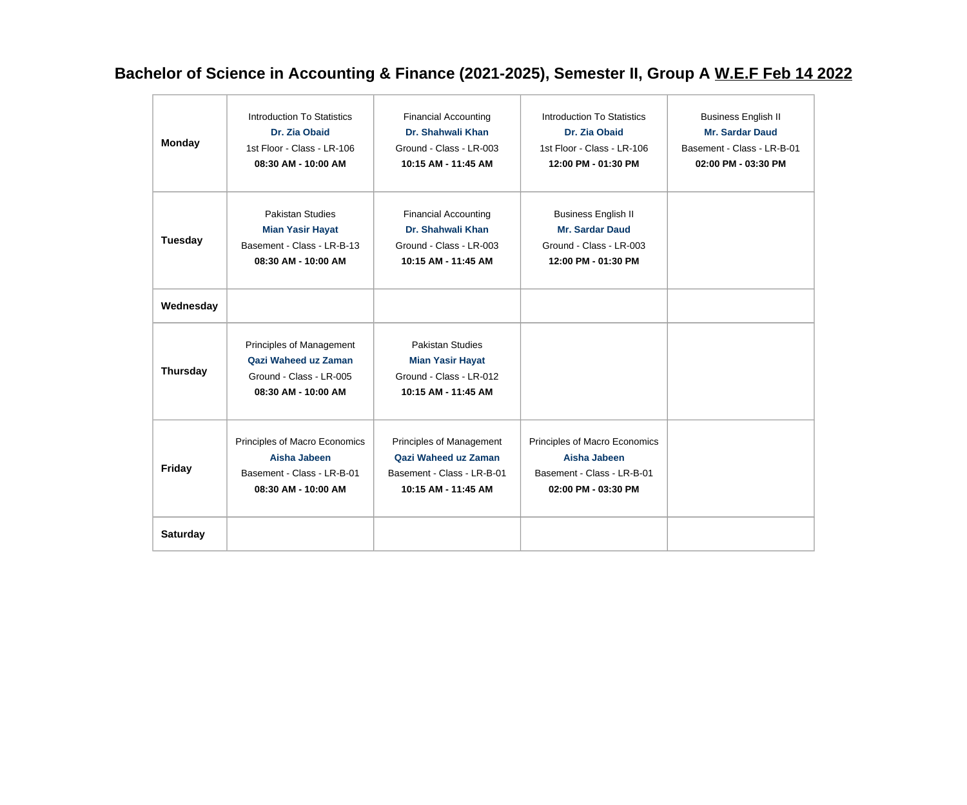## **Bachelor of Science in Accounting & Finance (2021-2025), Semester II, Group A W.E.F Feb 14 2022**

| <b>Monday</b>   | Introduction To Statistics<br>Dr. Zia Obaid<br>1st Floor - Class - LR-106<br>08:30 AM - 10:00 AM        | <b>Financial Accounting</b><br>Dr. Shahwali Khan<br>Ground - Class - LR-003<br>10:15 AM - 11:45 AM    | Introduction To Statistics<br>Dr. Zia Obaid<br>1st Floor - Class - LR-106<br>12:00 PM - 01:30 PM       | <b>Business English II</b><br><b>Mr. Sardar Daud</b><br>Basement - Class - LR-B-01<br>02:00 PM - 03:30 PM |
|-----------------|---------------------------------------------------------------------------------------------------------|-------------------------------------------------------------------------------------------------------|--------------------------------------------------------------------------------------------------------|-----------------------------------------------------------------------------------------------------------|
| <b>Tuesday</b>  | <b>Pakistan Studies</b><br><b>Mian Yasir Hayat</b><br>Basement - Class - LR-B-13<br>08:30 AM - 10:00 AM | <b>Financial Accounting</b><br>Dr. Shahwali Khan<br>Ground - Class - LR-003<br>10:15 AM - 11:45 AM    | <b>Business English II</b><br><b>Mr. Sardar Daud</b><br>Ground - Class - LR-003<br>12:00 PM - 01:30 PM |                                                                                                           |
| Wednesday       |                                                                                                         |                                                                                                       |                                                                                                        |                                                                                                           |
| <b>Thursday</b> | Principles of Management<br>Qazi Waheed uz Zaman<br>Ground - Class - LR-005<br>08:30 AM - 10:00 AM      | <b>Pakistan Studies</b><br><b>Mian Yasir Hayat</b><br>Ground - Class - LR-012<br>10:15 AM - 11:45 AM  |                                                                                                        |                                                                                                           |
| <b>Friday</b>   | Principles of Macro Economics<br>Aisha Jabeen<br>Basement - Class - LR-B-01<br>08:30 AM - 10:00 AM      | Principles of Management<br>Qazi Waheed uz Zaman<br>Basement - Class - LR-B-01<br>10:15 AM - 11:45 AM | Principles of Macro Economics<br>Aisha Jabeen<br>Basement - Class - LR-B-01<br>02:00 PM - 03:30 PM     |                                                                                                           |
| <b>Saturday</b> |                                                                                                         |                                                                                                       |                                                                                                        |                                                                                                           |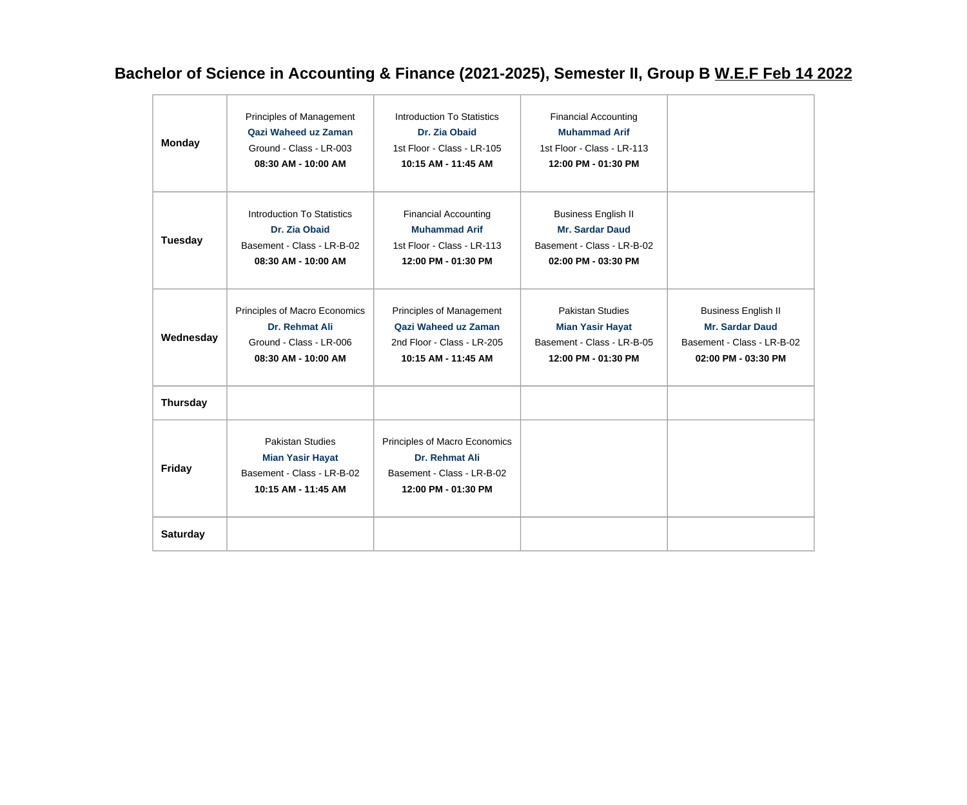## **Bachelor of Science in Accounting & Finance (2021-2025), Semester II, Group B W.E.F Feb 14 2022**

| <b>Monday</b>   | Principles of Management<br>Qazi Waheed uz Zaman<br>Ground - Class - LR-003<br>08:30 AM - 10:00 AM      | Introduction To Statistics<br>Dr. Zia Obaid<br>1st Floor - Class - LR-105<br>10:15 AM - 11:45 AM         | <b>Financial Accounting</b><br><b>Muhammad Arif</b><br>1st Floor - Class - LR-113<br>12:00 PM - 01:30 PM  |                                                                                                           |
|-----------------|---------------------------------------------------------------------------------------------------------|----------------------------------------------------------------------------------------------------------|-----------------------------------------------------------------------------------------------------------|-----------------------------------------------------------------------------------------------------------|
| Tuesday         | Introduction To Statistics<br>Dr. Zia Obaid<br>Basement - Class - LR-B-02<br>08:30 AM - 10:00 AM        | <b>Financial Accounting</b><br><b>Muhammad Arif</b><br>1st Floor - Class - LR-113<br>12:00 PM - 01:30 PM | <b>Business English II</b><br><b>Mr. Sardar Daud</b><br>Basement - Class - LR-B-02<br>02:00 PM - 03:30 PM |                                                                                                           |
| Wednesday       | Principles of Macro Economics<br>Dr. Rehmat Ali<br>Ground - Class - LR-006<br>08:30 AM - 10:00 AM       | Principles of Management<br>Qazi Waheed uz Zaman<br>2nd Floor - Class - LR-205<br>10:15 AM - 11:45 AM    | <b>Pakistan Studies</b><br><b>Mian Yasir Hayat</b><br>Basement - Class - LR-B-05<br>12:00 PM - 01:30 PM   | <b>Business English II</b><br><b>Mr. Sardar Daud</b><br>Basement - Class - LR-B-02<br>02:00 PM - 03:30 PM |
| <b>Thursday</b> |                                                                                                         |                                                                                                          |                                                                                                           |                                                                                                           |
| <b>Friday</b>   | <b>Pakistan Studies</b><br><b>Mian Yasir Hayat</b><br>Basement - Class - LR-B-02<br>10:15 AM - 11:45 AM | Principles of Macro Economics<br>Dr. Rehmat Ali<br>Basement - Class - LR-B-02<br>12:00 PM - 01:30 PM     |                                                                                                           |                                                                                                           |
| <b>Saturday</b> |                                                                                                         |                                                                                                          |                                                                                                           |                                                                                                           |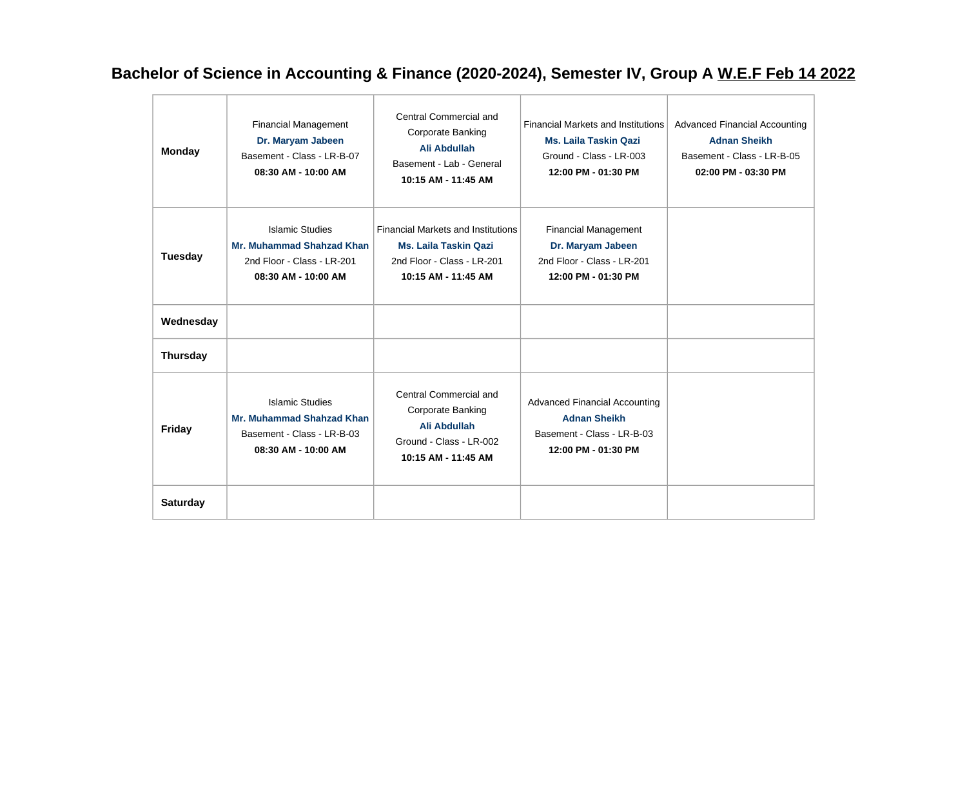## **Bachelor of Science in Accounting & Finance (2020-2024), Semester IV, Group A W.E.F Feb 14 2022**

| <b>Monday</b>   | <b>Financial Management</b><br>Dr. Maryam Jabeen<br>Basement - Class - LR-B-07<br>08:30 AM - 10:00 AM           | Central Commercial and<br>Corporate Banking<br>Ali Abdullah<br>Basement - Lab - General<br>10:15 AM - 11:45 AM                 | <b>Financial Markets and Institutions</b><br><b>Ms. Laila Taskin Qazi</b><br>Ground - Class - LR-003<br>12:00 PM - 01:30 PM | <b>Advanced Financial Accounting</b><br><b>Adnan Sheikh</b><br>Basement - Class - LR-B-05<br>02:00 PM - 03:30 PM |
|-----------------|-----------------------------------------------------------------------------------------------------------------|--------------------------------------------------------------------------------------------------------------------------------|-----------------------------------------------------------------------------------------------------------------------------|------------------------------------------------------------------------------------------------------------------|
| <b>Tuesday</b>  | <b>Islamic Studies</b><br><b>Mr. Muhammad Shahzad Khan</b><br>2nd Floor - Class - LR-201<br>08:30 AM - 10:00 AM | <b>Financial Markets and Institutions</b><br><b>Ms. Laila Taskin Qazi</b><br>2nd Floor - Class - LR-201<br>10:15 AM - 11:45 AM | <b>Financial Management</b><br>Dr. Maryam Jabeen<br>2nd Floor - Class - LR-201<br>12:00 PM - 01:30 PM                       |                                                                                                                  |
| Wednesday       |                                                                                                                 |                                                                                                                                |                                                                                                                             |                                                                                                                  |
| <b>Thursday</b> |                                                                                                                 |                                                                                                                                |                                                                                                                             |                                                                                                                  |
| <b>Friday</b>   | <b>Islamic Studies</b><br><b>Mr. Muhammad Shahzad Khan</b><br>Basement - Class - LR-B-03<br>08:30 AM - 10:00 AM | Central Commercial and<br>Corporate Banking<br>Ali Abdullah<br>Ground - Class - LR-002<br>10:15 AM - 11:45 AM                  | <b>Advanced Financial Accounting</b><br><b>Adnan Sheikh</b><br>Basement - Class - LR-B-03<br>12:00 PM - 01:30 PM            |                                                                                                                  |
| <b>Saturday</b> |                                                                                                                 |                                                                                                                                |                                                                                                                             |                                                                                                                  |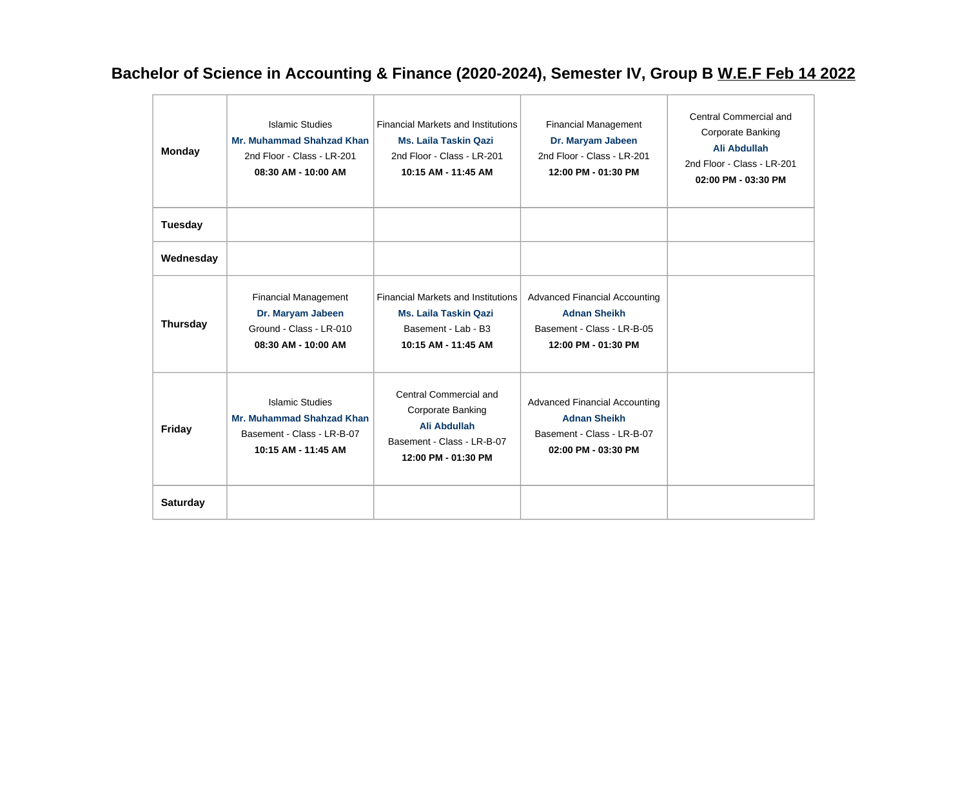## **Bachelor of Science in Accounting & Finance (2020-2024), Semester IV, Group B W.E.F Feb 14 2022**

| <b>Monday</b>   | <b>Islamic Studies</b><br><b>Mr. Muhammad Shahzad Khan</b><br>2nd Floor - Class - LR-201<br>08:30 AM - 10:00 AM | <b>Financial Markets and Institutions</b><br><b>Ms. Laila Taskin Qazi</b><br>2nd Floor - Class - LR-201<br>10:15 AM - 11:45 AM | <b>Financial Management</b><br>Dr. Maryam Jabeen<br>2nd Floor - Class - LR-201<br>12:00 PM - 01:30 PM            | Central Commercial and<br>Corporate Banking<br>Ali Abdullah<br>2nd Floor - Class - LR-201<br>02:00 PM - 03:30 PM |
|-----------------|-----------------------------------------------------------------------------------------------------------------|--------------------------------------------------------------------------------------------------------------------------------|------------------------------------------------------------------------------------------------------------------|------------------------------------------------------------------------------------------------------------------|
| Tuesday         |                                                                                                                 |                                                                                                                                |                                                                                                                  |                                                                                                                  |
| Wednesday       |                                                                                                                 |                                                                                                                                |                                                                                                                  |                                                                                                                  |
| <b>Thursday</b> | <b>Financial Management</b><br>Dr. Maryam Jabeen<br>Ground - Class - LR-010<br>08:30 AM - 10:00 AM              | <b>Financial Markets and Institutions</b><br><b>Ms. Laila Taskin Qazi</b><br>Basement - Lab - B3<br>10:15 AM - 11:45 AM        | <b>Advanced Financial Accounting</b><br><b>Adnan Sheikh</b><br>Basement - Class - LR-B-05<br>12:00 PM - 01:30 PM |                                                                                                                  |
| <b>Friday</b>   | <b>Islamic Studies</b><br><b>Mr. Muhammad Shahzad Khan</b><br>Basement - Class - LR-B-07<br>10:15 AM - 11:45 AM | Central Commercial and<br>Corporate Banking<br>Ali Abdullah<br>Basement - Class - LR-B-07<br>12:00 PM - 01:30 PM               | <b>Advanced Financial Accounting</b><br><b>Adnan Sheikh</b><br>Basement - Class - LR-B-07<br>02:00 PM - 03:30 PM |                                                                                                                  |
| <b>Saturday</b> |                                                                                                                 |                                                                                                                                |                                                                                                                  |                                                                                                                  |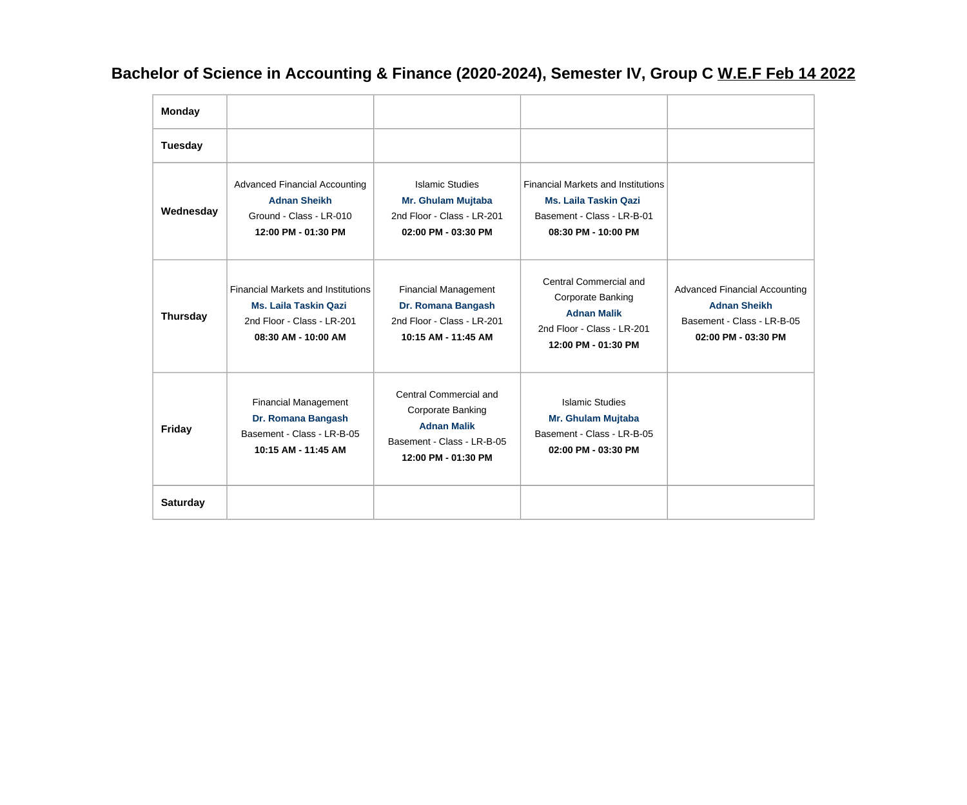## **Bachelor of Science in Accounting & Finance (2020-2024), Semester IV, Group C W.E.F Feb 14 2022**

| <b>Monday</b>   |                                                                                                                                |                                                                                                                               |                                                                                                                                |                                                                                                                  |
|-----------------|--------------------------------------------------------------------------------------------------------------------------------|-------------------------------------------------------------------------------------------------------------------------------|--------------------------------------------------------------------------------------------------------------------------------|------------------------------------------------------------------------------------------------------------------|
| Tuesday         |                                                                                                                                |                                                                                                                               |                                                                                                                                |                                                                                                                  |
| Wednesday       | <b>Advanced Financial Accounting</b><br><b>Adnan Sheikh</b><br>Ground - Class - LR-010<br>12:00 PM - 01:30 PM                  | <b>Islamic Studies</b><br>Mr. Ghulam Mujtaba<br>2nd Floor - Class - LR-201<br>02:00 PM - 03:30 PM                             | <b>Financial Markets and Institutions</b><br><b>Ms. Laila Taskin Qazi</b><br>Basement - Class - LR-B-01<br>08:30 PM - 10:00 PM |                                                                                                                  |
| <b>Thursday</b> | <b>Financial Markets and Institutions</b><br><b>Ms. Laila Taskin Qazi</b><br>2nd Floor - Class - LR-201<br>08:30 AM - 10:00 AM | <b>Financial Management</b><br>Dr. Romana Bangash<br>2nd Floor - Class - LR-201<br>10:15 AM - 11:45 AM                        | Central Commercial and<br>Corporate Banking<br><b>Adnan Malik</b><br>2nd Floor - Class - LR-201<br>12:00 PM - 01:30 PM         | <b>Advanced Financial Accounting</b><br><b>Adnan Sheikh</b><br>Basement - Class - LR-B-05<br>02:00 PM - 03:30 PM |
| <b>Friday</b>   | <b>Financial Management</b><br>Dr. Romana Bangash<br>Basement - Class - LR-B-05<br>10:15 AM - 11:45 AM                         | Central Commercial and<br><b>Corporate Banking</b><br><b>Adnan Malik</b><br>Basement - Class - LR-B-05<br>12:00 PM - 01:30 PM | <b>Islamic Studies</b><br>Mr. Ghulam Mujtaba<br>Basement - Class - LR-B-05<br>02:00 PM - 03:30 PM                              |                                                                                                                  |
| <b>Saturday</b> |                                                                                                                                |                                                                                                                               |                                                                                                                                |                                                                                                                  |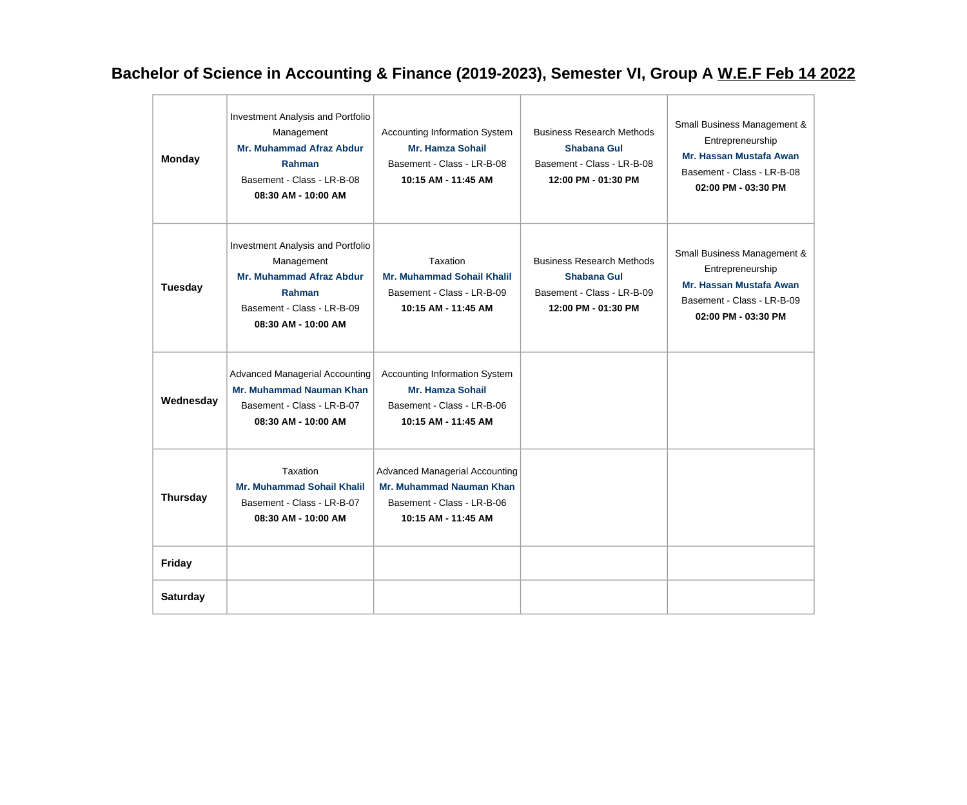# **Bachelor of Science in Accounting & Finance (2019-2023), Semester VI, Group A W.E.F Feb 14 2022**

| <b>Monday</b>   | Investment Analysis and Portfolio<br>Management<br><b>Mr. Muhammad Afraz Abdur</b><br>Rahman<br>Basement - Class - LR-B-08<br>08:30 AM - 10:00 AM        | <b>Accounting Information System</b><br><b>Mr. Hamza Sohail</b><br>Basement - Class - LR-B-08<br>10:15 AM - 11:45 AM          | <b>Business Research Methods</b><br>Shabana Gul<br>Basement - Class - LR-B-08<br>12:00 PM - 01:30 PM | Small Business Management &<br>Entrepreneurship<br>Mr. Hassan Mustafa Awan<br>Basement - Class - LR-B-08<br>02:00 PM - 03:30 PM |
|-----------------|----------------------------------------------------------------------------------------------------------------------------------------------------------|-------------------------------------------------------------------------------------------------------------------------------|------------------------------------------------------------------------------------------------------|---------------------------------------------------------------------------------------------------------------------------------|
| <b>Tuesday</b>  | Investment Analysis and Portfolio<br>Management<br><b>Mr. Muhammad Afraz Abdur</b><br><b>Rahman</b><br>Basement - Class - LR-B-09<br>08:30 AM - 10:00 AM | Taxation<br><b>Mr. Muhammad Sohail Khalil</b><br>Basement - Class - LR-B-09<br>10:15 AM - 11:45 AM                            | <b>Business Research Methods</b><br>Shabana Gul<br>Basement - Class - LR-B-09<br>12:00 PM - 01:30 PM | Small Business Management &<br>Entrepreneurship<br>Mr. Hassan Mustafa Awan<br>Basement - Class - LR-B-09<br>02:00 PM - 03:30 PM |
| Wednesday       | <b>Advanced Managerial Accounting</b><br><b>Mr. Muhammad Nauman Khan</b><br>Basement - Class - LR-B-07<br>08:30 AM - 10:00 AM                            | <b>Accounting Information System</b><br><b>Mr. Hamza Sohail</b><br>Basement - Class - LR-B-06<br>10:15 AM - 11:45 AM          |                                                                                                      |                                                                                                                                 |
| <b>Thursday</b> | Taxation<br><b>Mr. Muhammad Sohail Khalil</b><br>Basement - Class - LR-B-07<br>08:30 AM - 10:00 AM                                                       | <b>Advanced Managerial Accounting</b><br><b>Mr. Muhammad Nauman Khan</b><br>Basement - Class - LR-B-06<br>10:15 AM - 11:45 AM |                                                                                                      |                                                                                                                                 |
| <b>Friday</b>   |                                                                                                                                                          |                                                                                                                               |                                                                                                      |                                                                                                                                 |
| <b>Saturday</b> |                                                                                                                                                          |                                                                                                                               |                                                                                                      |                                                                                                                                 |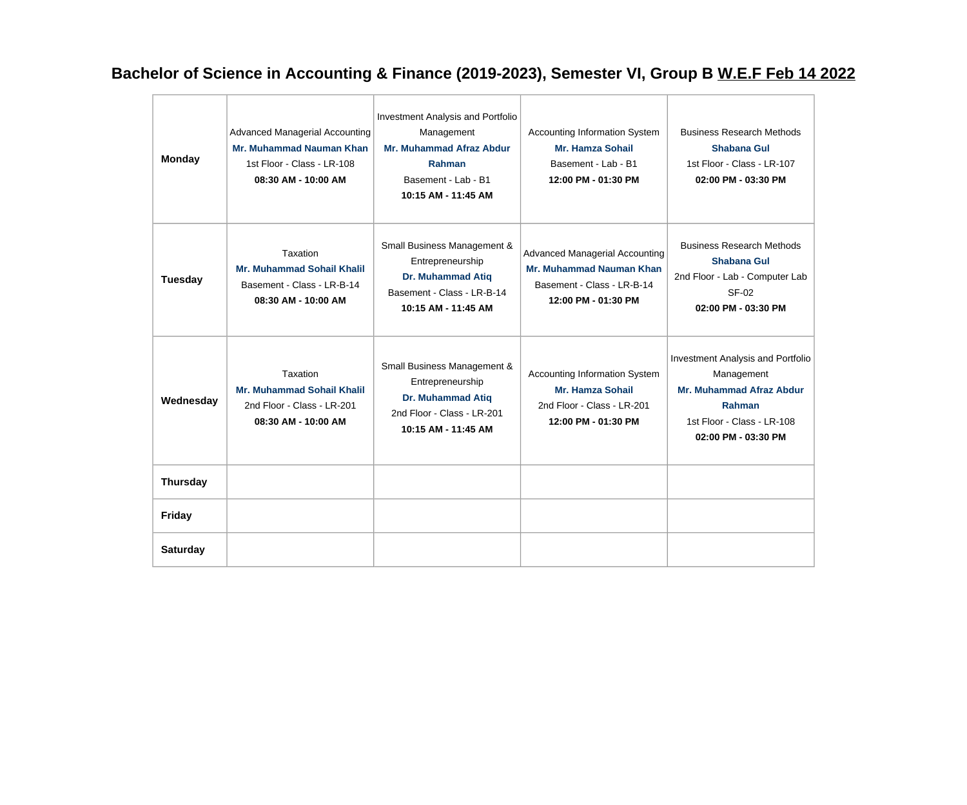## **Bachelor of Science in Accounting & Finance (2019-2023), Semester VI, Group B W.E.F Feb 14 2022**

| <b>Monday</b>   | <b>Advanced Managerial Accounting</b><br><b>Mr. Muhammad Nauman Khan</b><br>1st Floor - Class - LR-108<br>08:30 AM - 10:00 AM | Investment Analysis and Portfolio<br>Management<br><b>Mr. Muhammad Afraz Abdur</b><br><b>Rahman</b><br>Basement - Lab - B1<br>10:15 AM - 11:45 AM | Accounting Information System<br><b>Mr. Hamza Sohail</b><br>Basement - Lab - B1<br>12:00 PM - 01:30 PM                        | <b>Business Research Methods</b><br><b>Shabana Gul</b><br>1st Floor - Class - LR-107<br>$02:00$ PM - $03:30$ PM                                   |
|-----------------|-------------------------------------------------------------------------------------------------------------------------------|---------------------------------------------------------------------------------------------------------------------------------------------------|-------------------------------------------------------------------------------------------------------------------------------|---------------------------------------------------------------------------------------------------------------------------------------------------|
| <b>Tuesday</b>  | Taxation<br><b>Mr. Muhammad Sohail Khalil</b><br>Basement - Class - LR-B-14<br>08:30 AM - 10:00 AM                            | Small Business Management &<br>Entrepreneurship<br><b>Dr. Muhammad Atiq</b><br>Basement - Class - LR-B-14<br>10:15 AM - 11:45 AM                  | <b>Advanced Managerial Accounting</b><br><b>Mr. Muhammad Nauman Khan</b><br>Basement - Class - LR-B-14<br>12:00 PM - 01:30 PM | <b>Business Research Methods</b><br><b>Shabana Gul</b><br>2nd Floor - Lab - Computer Lab<br>SF-02<br>02:00 PM - 03:30 PM                          |
| Wednesday       | Taxation<br><b>Mr. Muhammad Sohail Khalil</b><br>2nd Floor - Class - LR-201<br>08:30 AM - 10:00 AM                            | Small Business Management &<br>Entrepreneurship<br><b>Dr. Muhammad Atiq</b><br>2nd Floor - Class - LR-201<br>10:15 AM - 11:45 AM                  | Accounting Information System<br><b>Mr. Hamza Sohail</b><br>2nd Floor - Class - LR-201<br>12:00 PM - 01:30 PM                 | Investment Analysis and Portfolio<br>Management<br><b>Mr. Muhammad Afraz Abdur</b><br>Rahman<br>1st Floor - Class - LR-108<br>02:00 PM - 03:30 PM |
| <b>Thursday</b> |                                                                                                                               |                                                                                                                                                   |                                                                                                                               |                                                                                                                                                   |
| <b>Friday</b>   |                                                                                                                               |                                                                                                                                                   |                                                                                                                               |                                                                                                                                                   |
| <b>Saturday</b> |                                                                                                                               |                                                                                                                                                   |                                                                                                                               |                                                                                                                                                   |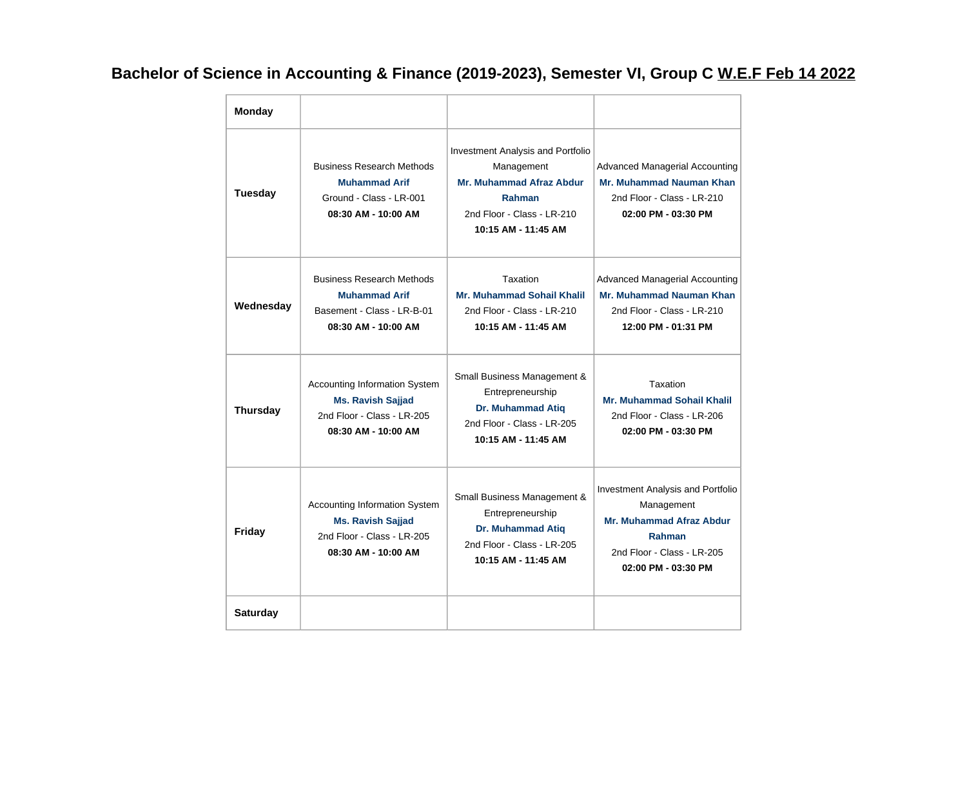# **Bachelor of Science in Accounting & Finance (2019-2023), Semester VI, Group C W.E.F Feb 14 2022**

| <b>Monday</b>   |                                                                                                                |                                                                                                                                                          |                                                                                                                                                          |
|-----------------|----------------------------------------------------------------------------------------------------------------|----------------------------------------------------------------------------------------------------------------------------------------------------------|----------------------------------------------------------------------------------------------------------------------------------------------------------|
| <b>Tuesday</b>  | <b>Business Research Methods</b><br><b>Muhammad Arif</b><br>Ground - Class - LR-001<br>08:30 AM - 10:00 AM     | <b>Investment Analysis and Portfolio</b><br>Management<br><b>Mr. Muhammad Afraz Abdur</b><br>Rahman<br>2nd Floor - Class - LR-210<br>10:15 AM - 11:45 AM | <b>Advanced Managerial Accounting</b><br>Mr. Muhammad Nauman Khan<br>2nd Floor - Class - LR-210<br>02:00 PM - 03:30 PM                                   |
| Wednesday       | <b>Business Research Methods</b><br><b>Muhammad Arif</b><br>Basement - Class - LR-B-01<br>08:30 AM - 10:00 AM  | Taxation<br><b>Mr. Muhammad Sohail Khalil</b><br>2nd Floor - Class - LR-210<br>10:15 AM - 11:45 AM                                                       | <b>Advanced Managerial Accounting</b><br>Mr. Muhammad Nauman Khan<br>2nd Floor - Class - LR-210<br>12:00 PM - 01:31 PM                                   |
| <b>Thursday</b> | Accounting Information System<br><b>Ms. Ravish Sajjad</b><br>2nd Floor - Class - LR-205<br>08:30 AM - 10:00 AM | Small Business Management &<br>Entrepreneurship<br><b>Dr. Muhammad Atiq</b><br>2nd Floor - Class - LR-205<br>10:15 AM - 11:45 AM                         | Taxation<br><b>Mr. Muhammad Sohail Khalil</b><br>2nd Floor - Class - LR-206<br>02:00 PM - 03:30 PM                                                       |
| Friday          | Accounting Information System<br><b>Ms. Ravish Sajjad</b><br>2nd Floor - Class - LR-205<br>08:30 AM - 10:00 AM | Small Business Management &<br>Entrepreneurship<br><b>Dr. Muhammad Atiq</b><br>2nd Floor - Class - LR-205<br>10:15 AM - 11:45 AM                         | Investment Analysis and Portfolio<br>Management<br><b>Mr. Muhammad Afraz Abdur</b><br><b>Rahman</b><br>2nd Floor - Class - LR-205<br>02:00 PM - 03:30 PM |
| <b>Saturday</b> |                                                                                                                |                                                                                                                                                          |                                                                                                                                                          |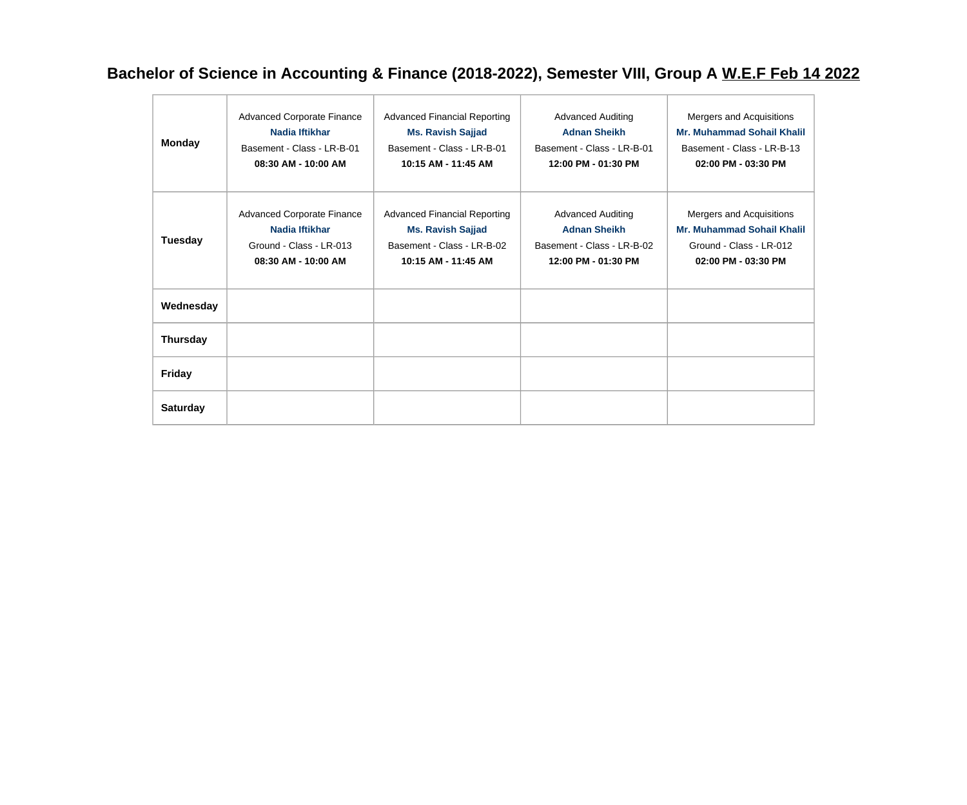# **Bachelor of Science in Accounting & Finance (2018-2022), Semester VIII, Group A W.E.F Feb 14 2022**

| <b>Monday</b>   | <b>Advanced Corporate Finance</b><br>Nadia Iftikhar<br>Basement - Class - LR-B-01<br>08:30 AM - 10:00 AM | <b>Advanced Financial Reporting</b><br><b>Ms. Ravish Sajjad</b><br>Basement - Class - LR-B-01<br>10:15 AM - 11:45 AM | <b>Advanced Auditing</b><br><b>Adnan Sheikh</b><br>Basement - Class - LR-B-01<br>12:00 PM - 01:30 PM | Mergers and Acquisitions<br><b>Mr. Muhammad Sohail Khalil</b><br>Basement - Class - LR-B-13<br>02:00 PM - 03:30 PM |
|-----------------|----------------------------------------------------------------------------------------------------------|----------------------------------------------------------------------------------------------------------------------|------------------------------------------------------------------------------------------------------|--------------------------------------------------------------------------------------------------------------------|
| Tuesday         | <b>Advanced Corporate Finance</b><br>Nadia Iftikhar<br>Ground - Class - LR-013<br>08:30 AM - 10:00 AM    | <b>Advanced Financial Reporting</b><br><b>Ms. Ravish Sajjad</b><br>Basement - Class - LR-B-02<br>10:15 AM - 11:45 AM | <b>Advanced Auditing</b><br><b>Adnan Sheikh</b><br>Basement - Class - LR-B-02<br>12:00 PM - 01:30 PM | Mergers and Acquisitions<br><b>Mr. Muhammad Sohail Khalil</b><br>Ground - Class - LR-012<br>02:00 PM - 03:30 PM    |
| Wednesday       |                                                                                                          |                                                                                                                      |                                                                                                      |                                                                                                                    |
| <b>Thursday</b> |                                                                                                          |                                                                                                                      |                                                                                                      |                                                                                                                    |
| <b>Friday</b>   |                                                                                                          |                                                                                                                      |                                                                                                      |                                                                                                                    |
| <b>Saturday</b> |                                                                                                          |                                                                                                                      |                                                                                                      |                                                                                                                    |